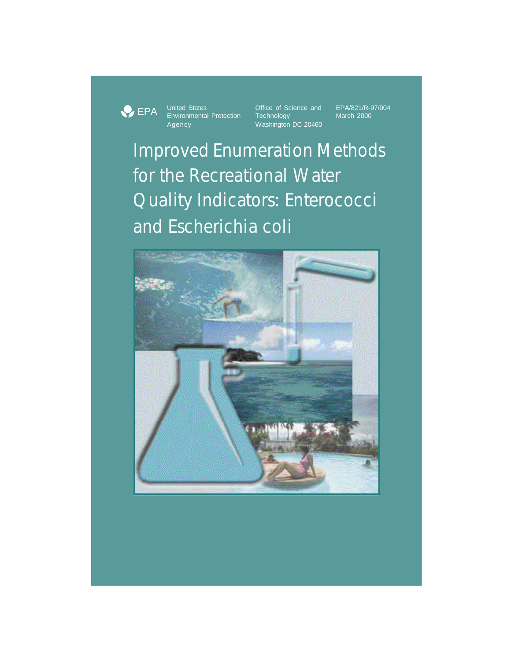**PEPA** 

Environmental Protection<br>
Environmental Protection Technology<br>
Mashington Washington

United States **Office of Science and** EPA/821/R-97/004<br>
Environmental Protection Technology March 2000 Washington DC 20460

Improved Enumeration Methods for the Recreational Water Quality Indicators: Enterococci and *Escherichia coli*

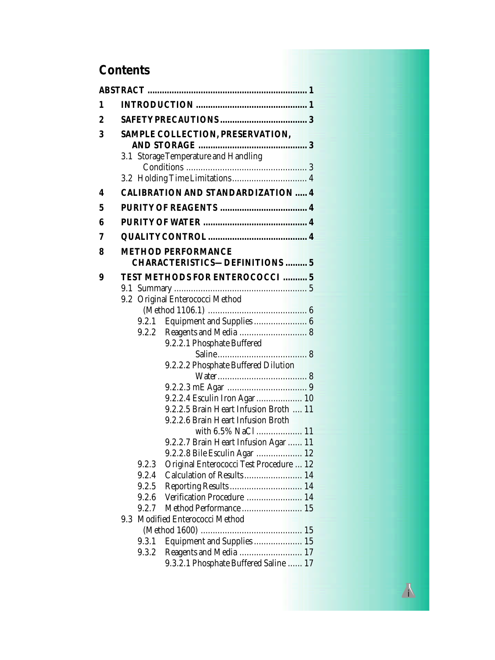# **Contents**

| 1 |                                      |                |                                           |  |
|---|--------------------------------------|----------------|-------------------------------------------|--|
| 2 |                                      |                |                                           |  |
| 3 | SAMPLE COLLECTION, PRESERVATION,     |                |                                           |  |
|   |                                      |                |                                           |  |
|   | 3.1 Storage Temperature and Handling |                |                                           |  |
|   |                                      |                |                                           |  |
| 4 |                                      |                | <b>CALIBRATION AND STANDARDIZATION  4</b> |  |
|   |                                      |                |                                           |  |
| 5 |                                      |                |                                           |  |
| 6 |                                      |                |                                           |  |
| 7 |                                      |                |                                           |  |
| 8 |                                      |                | <b>METHOD PERFORMANCE</b>                 |  |
|   |                                      |                | <b>CHARACTERISTICS-DEFINITIONS  5</b>     |  |
| 9 |                                      |                | TEST METHODS FOR ENTEROCOCCI  5           |  |
|   |                                      |                |                                           |  |
|   | 9.2                                  |                | Original Enterococci Method               |  |
|   |                                      |                |                                           |  |
|   |                                      | 9.2.1<br>9.2.2 | Equipment and Supplies  6                 |  |
|   |                                      |                | 9.2.2.1 Phosphate Buffered                |  |
|   |                                      |                |                                           |  |
|   |                                      |                | 9.2.2.2 Phosphate Buffered Dilution       |  |
|   |                                      |                |                                           |  |
|   |                                      |                |                                           |  |
|   |                                      |                | 9.2.2.4 Esculin Iron Agar 10              |  |
|   |                                      |                | 9.2.2.5 Brain Heart Infusion Broth  11    |  |
|   |                                      |                | 9.2.2.6 Brain Heart Infusion Broth        |  |
|   |                                      |                | with 6.5% NaCl  11                        |  |
|   |                                      |                | 9.2.2.7 Brain Heart Infusion Agar  11     |  |
|   |                                      |                | 9.2.2.8 Bile Esculin Agar  12             |  |
|   |                                      | 9.2.3          | Original Enterococci Test Procedure  12   |  |
|   |                                      | 9.2.4          | Calculation of Results 14                 |  |
|   |                                      | 9.2.5          | Reporting Results  14                     |  |
|   |                                      | 9.2.6          | Verification Procedure  14                |  |
|   |                                      | 9.2.7          | Method Performance  15                    |  |
|   | 9.3                                  |                | Modified Enterococci Method               |  |
|   |                                      |                |                                           |  |
|   |                                      | 9.3.1          | Equipment and Supplies  15                |  |
|   |                                      | 9.3.2          | Reagents and Media  17                    |  |
|   |                                      |                | 9.3.2.1 Phosphate Buffered Saline  17     |  |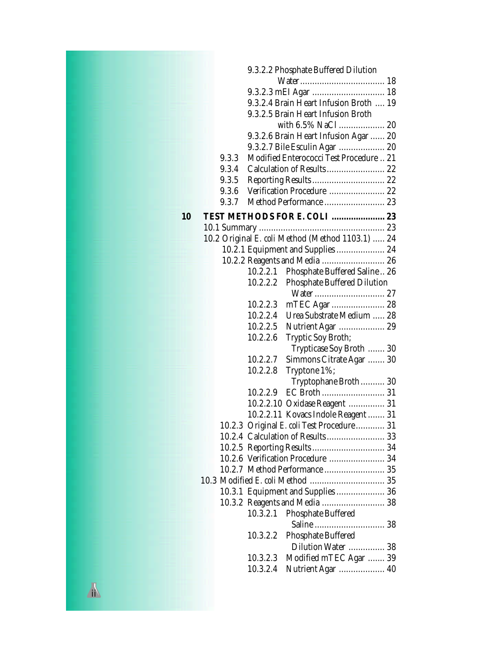|    | 9.3.2.2 Phosphate Buffered Dilution              |
|----|--------------------------------------------------|
|    |                                                  |
|    |                                                  |
|    | 9.3.2.4 Brain Heart Infusion Broth  19           |
|    | 9.3.2.5 Brain Heart Infusion Broth               |
|    |                                                  |
|    | 9.3.2.6 Brain Heart Infusion Agar  20            |
|    | 9.3.2.7 Bile Esculin Agar  20                    |
|    | Modified Enterococci Test Procedure  21<br>9.3.3 |
|    | Calculation of Results  22<br>9.3.4              |
|    | 9.3.5                                            |
|    | Verification Procedure  22<br>9.3.6              |
|    | Method Performance  23<br>9.3.7                  |
|    |                                                  |
| 10 | TEST METHODS FOR E. COLI  23                     |
|    |                                                  |
|    | 10.2 Original E. coli Method (Method 1103.1)  24 |
|    | 10.2.1 Equipment and Supplies  24                |
|    | 10.2.2 Reagents and Media  26                    |
|    | Phosphate Buffered Saline 26<br>10.2.2.1         |
|    | 10.2.2.2<br><b>Phosphate Buffered Dilution</b>   |
|    |                                                  |
|    | 10.2.2.3                                         |
|    | 10.2.2.4<br>Urea Substrate Medium  28            |
|    | 10.2.2.5<br>Nutrient Agar  29                    |
|    | 10.2.2.6<br>Tryptic Soy Broth;                   |
|    | Trypticase Soy Broth  30                         |
|    | 10.2.2.7<br>Simmons Citrate Agar  30             |
|    | 10.2.2.8<br>Tryptone 1%;                         |
|    | Tryptophane Broth 30                             |
|    | 10.2.2.9                                         |
|    | 10.2.2.10 Oxidase Reagent  31                    |
|    | 10.2.2.11 Kovacs Indole Reagent  31              |
|    | 10.2.3 Original E. coliTest Procedure 31         |
|    | 10.2.4 Calculation of Results 33                 |
|    |                                                  |
|    | 10.2.6 Verification Procedure  34                |
|    | 10.2.7   Method Performance  35                  |
|    |                                                  |
|    | 10.3.1 Equipment and Supplies  36                |
|    | 10.3.2 Reagents and Media  38                    |
|    | 10.3.2.1<br><b>Phosphate Buffered</b>            |
|    |                                                  |
|    | <b>Phosphate Buffered</b><br>10.3.2.2            |
|    | Dilution Water  38                               |
|    | Modified mTEC Agar  39<br>10.3.2.3               |
|    | 10.3.2.4<br><b>Nutrient Agar</b> 40              |
|    |                                                  |

**ii**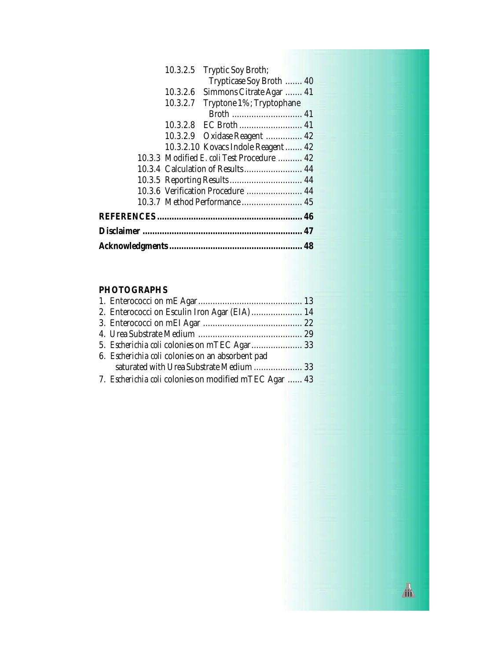| 10.3.2.5 | Tryptic Soy Broth;                                |  |
|----------|---------------------------------------------------|--|
|          | Trypticase Soy Broth  40                          |  |
| 10.3.2.6 | Simmons Citrate Agar  41                          |  |
| 10.3.2.7 | Tryptone 1%; Tryptophane                          |  |
|          |                                                   |  |
|          |                                                   |  |
|          | 10.3.2.9 Oxidase Reagent  42                      |  |
|          | 10.3.2.10 Kovacs Indole Reagent  42               |  |
|          | 10.3.3 Modified <i>E. coli</i> Test Procedure  42 |  |
|          | 10.3.4 Calculation of Results 44                  |  |
|          | 10.3.5 Reporting Results  44                      |  |
|          | 10.3.6 Verification Procedure  44                 |  |
|          | 10.3.7 Method Performance  45                     |  |
|          |                                                   |  |
|          |                                                   |  |
|          |                                                   |  |

# **PHOTOGRAPHS**

| 6. Escherichia coli colonies on an absorbent pad       |  |
|--------------------------------------------------------|--|
|                                                        |  |
| 7. Escherichia coli colonies on modified mTEC Agar  43 |  |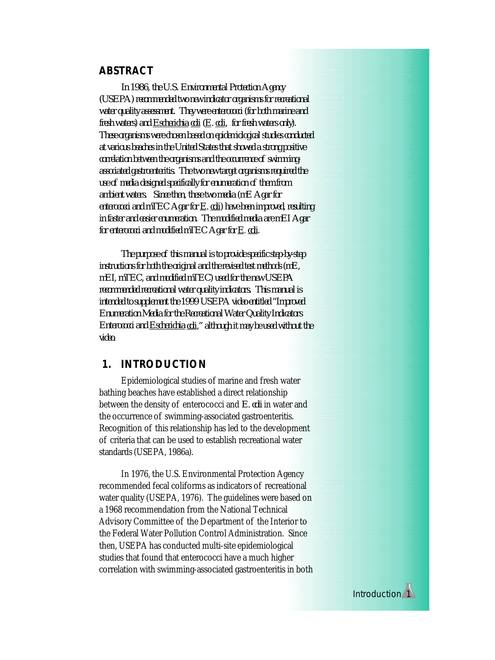# **ABSTRACT**

*In 1986, the U.S. Environmental Protection Agency (USEPA) recommended two new indicator organisms for recreational water quality assessment. They were enterococci (for both marine and fresh waters) and Escherichia coli (E. coli, for fresh waters only). These organisms were chosen based on epidemiological studies conducted at various beaches in the United States that showed a strong positive correlation between the organisms and the occurrence of swimmingassociated gastroenteritis. The two new target organisms required the use of media designed specifically for enumeration of them from ambient waters. Since then, these two media (mE Agar for enterococci and mTEC Agar for E. coli) have been improved, resulting in faster and easier enumeration. The modified media are mEI Agar for enterococci and modified mTEC Agar for E*. *coli*.

*The purpose of this manual is to provide specific step-by-step instructions for both the original and the revised test methods (mE, mEI, mTEC, and modified mTEC) used for the new USEPA recommended recreational water quality indicators. This manual is intended to supplement the 1999 USEPA video entitled "Improved Enumeration Media for the Recreational Water Quality Indicators Enterococci and Escherichia coli," although it may be used without the video.*

# **1. INTRODUCTION**

Epidemiological studies of marine and fresh water bathing beaches have established a direct relationship between the density of enterococci and *E. coli* in water and the occurrence of swimming-associated gastroenteritis. Recognition of this relationship has led to the development of criteria that can be used to establish recreational water standards (USEPA, 1986a).

In 1976, the U.S. Environmental Protection Agency recommended fecal coliforms as indicators of recreational water quality (USEPA, 1976). The guidelines were based on a 1968 recommendation from the National Technical Advisory Committee of the Department of the Interior to the Federal Water Pollution Control Administration. Since then, USEPA has conducted multi-site epidemiological studies that found that enterococci have a much higher correlation with swimming-associated gastroenteritis in both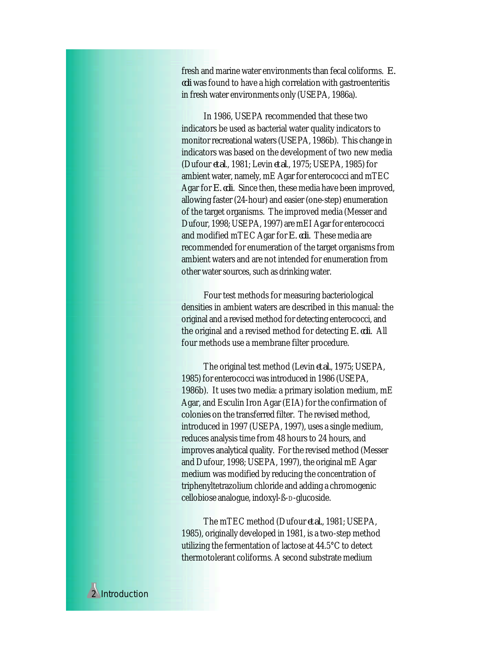fresh and marine water environments than fecal coliforms. *E. coli* was found to have a high correlation with gastroenteritis in fresh water environments only (USEPA, 1986a).

In 1986, USEPA recommended that these two indicators be used as bacterial water quality indicators to monitor recreational waters (USEPA, 1986b). This change in indicators was based on the development of two new media (Dufour *et al*., 1981; Levin *et al*., 1975; USEPA, 1985) for ambient water, namely, mE Agar for enterococci and mTEC Agar for *E. coli*. Since then, these media have been improved, allowing faster (24-hour) and easier (one-step) enumeration of the target organisms. The improved media (Messer and Dufour, 1998; USEPA, 1997) are mEI Agar for enterococci and modified mTEC Agar for *E. coli*. These media are recommended for enumeration of the target organisms from ambient waters and are not intended for enumeration from other water sources, such as drinking water.

Four test methods for measuring bacteriological densities in ambient waters are described in this manual: the original and a revised method for detecting enterococci, and the original and a revised method for detecting *E. coli*. All four methods use a membrane filter procedure.

The original test method (Levin *et al.*, 1975; USEPA, 1985) for enterococci was introduced in 1986 (USEPA, 1986b). It uses two media: a primary isolation medium, mE Agar, and Esculin Iron Agar (EIA) for the confirmation of colonies on the transferred filter. The revised method, introduced in 1997 (USEPA, 1997), uses a single medium, reduces analysis time from 48 hours to 24 hours, and improves analytical quality. For the revised method (Messer and Dufour, 1998; USEPA, 1997), the original mE Agar medium was modified by reducing the concentration of triphenyltetrazolium chloride and adding a chromogenic cellobiose analogue, indoxyl-ß-D-glucoside.

The mTEC method (Dufour *et al.*, 1981; USEPA, 1985), originally developed in 1981, is a two-step method utilizing the fermentation of lactose at 44.5°C to detect thermotolerant coliforms. A second substrate medium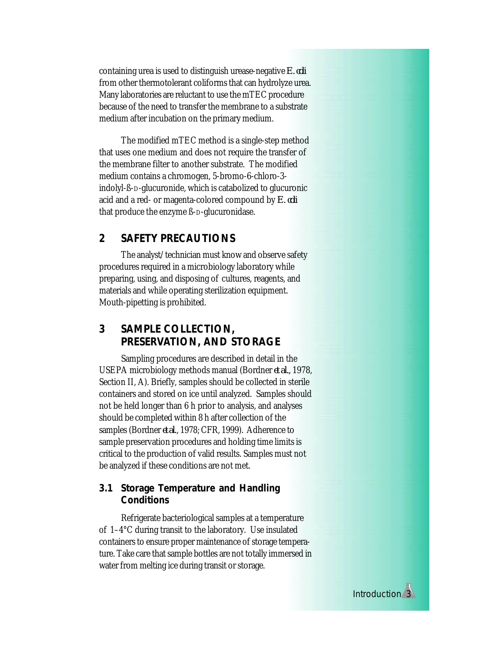containing urea is used to distinguish urease-negative *E. coli* from other thermotolerant coliforms that can hydrolyze urea. Many laboratories are reluctant to use the mTEC procedure because of the need to transfer the membrane to a substrate medium after incubation on the primary medium.

The modified mTEC method is a single-step method that uses one medium and does not require the transfer of the membrane filter to another substrate. The modified medium contains a chromogen, 5-bromo-6-chloro-3 indolyl-ß-D-glucuronide, which is catabolized to glucuronic acid and a red- or magenta-colored compound by *E. coli* that produce the enzyme ß-D-glucuronidase.

# **2 SAFETY PRECAUTIONS**

The analyst/technician must know and observe safety procedures required in a microbiology laboratory while preparing, using, and disposing of cultures, reagents, and materials and while operating sterilization equipment. Mouth-pipetting is prohibited.

# **3 SAMPLE COLLECTION, PRESERVATION, AND STORAGE**

Sampling procedures are described in detail in the USEPA microbiology methods manual (Bordner *et al.,* 1978, Section II, A). Briefly, samples should be collected in sterile containers and stored on ice until analyzed. Samples should not be held longer than 6 h prior to analysis, and analyses should be completed within 8 h after collection of the samples (Bordner *et al.*, 1978; CFR, 1999). Adherence to sample preservation procedures and holding time limits is critical to the production of valid results. Samples must not be analyzed if these conditions are not met.

### **3.1 Storage Temperature and Handling Conditions**

Refrigerate bacteriological samples at a temperature of 1–4°C during transit to the laboratory. Use insulated containers to ensure proper maintenance of storage temperature. Take care that sample bottles are not totally immersed in water from melting ice during transit or storage.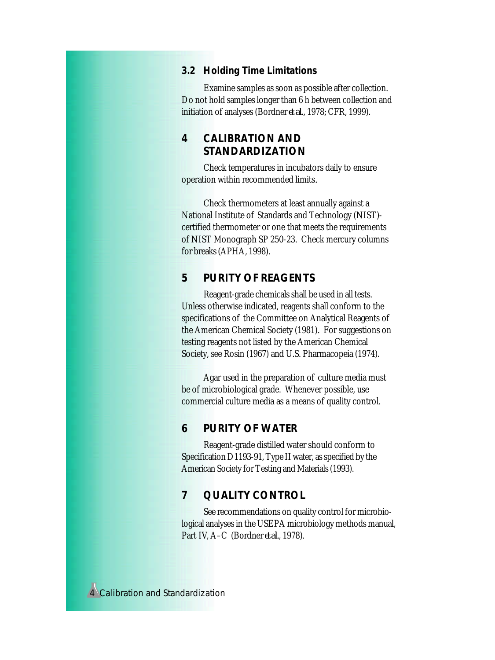# **3.2 Holding Time Limitations**

Examine samples as soon as possible after collection. Do not hold samples longer than 6 h between collection and initiation of analyses (Bordner *et al.*, 1978; CFR, 1999).

# **4 CALIBRATION AND STANDARDIZATION**

Check temperatures in incubators daily to ensure operation within recommended limits*.*

Check thermometers at least annually against a National Institute of Standards and Technology (NIST) certified thermometer or one that meets the requirements of NIST Monograph SP 250-23. Check mercury columns for breaks (APHA, 1998).

# **5 PURITY OF REAGENTS**

Reagent-grade chemicals shall be used in all tests. Unless otherwise indicated, reagents shall conform to the specifications of the Committee on Analytical Reagents of the American Chemical Society (1981). For suggestions on testing reagents not listed by the American Chemical Society, see Rosin (1967) and U.S. Pharmacopeia (1974).

Agar used in the preparation of culture media must be of microbiological grade. Whenever possible, use commercial culture media as a means of quality control.

### **6 PURITY OF WATER**

Reagent-grade distilled water should conform to Specification D1193-91, Type II water, as specified by the American Society for Testing and Materials (1993).

# **7 QUALITY CONTROL**

See recommendations on quality control for microbiological analyses in the USEPA microbiology methods manual, Part IV, A–C (Bordner *et al.*, 1978).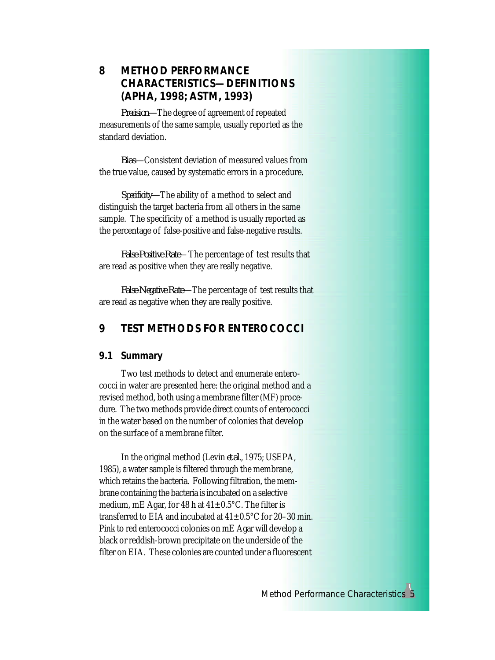# **8 METHOD PERFORMANCE CHARACTERISTICS—DEFINITIONS (APHA, 1998; ASTM, 1993)**

*Precision—*The degree of agreement of repeated measurements of the same sample, usually reported as the standard deviation.

*Bias—*Consistent deviation of measured values from the true value, caused by systematic errors in a procedure.

*Specificity—*The ability of a method to select and distinguish the target bacteria from all others in the same sample. The specificity of a method is usually reported as the percentage of false-positive and false-negative results.

*False-Positive Rate*—The percentage of test results that are read as positive when they are really negative.

*False-Negative Rate—*The percentage of test results that are read as negative when they are really positive.

# **9 TEST METHODS FOR ENTEROCOCCI**

# **9.1 Summary**

Two test methods to detect and enumerate enterococci in water are presented here: the original method and a revised method, both using a membrane filter (MF) procedure. The two methods provide direct counts of enterococci in the water based on the number of colonies that develop on the surface of a membrane filter.

In the original method (Levin *et al.*, 1975; USEPA, 1985), a water sample is filtered through the membrane, which retains the bacteria. Following filtration, the membrane containing the bacteria is incubated on a selective medium, mE Agar, for 48 h at  $41\pm0.5^{\circ}$ C. The filter is transferred to EIA and incubated at  $41\pm0.5^{\circ}$ C for 20-30 min. Pink to red enterococci colonies on mE Agar will develop a black or reddish-brown precipitate on the underside of the filter on EIA. These colonies are counted under a fluorescent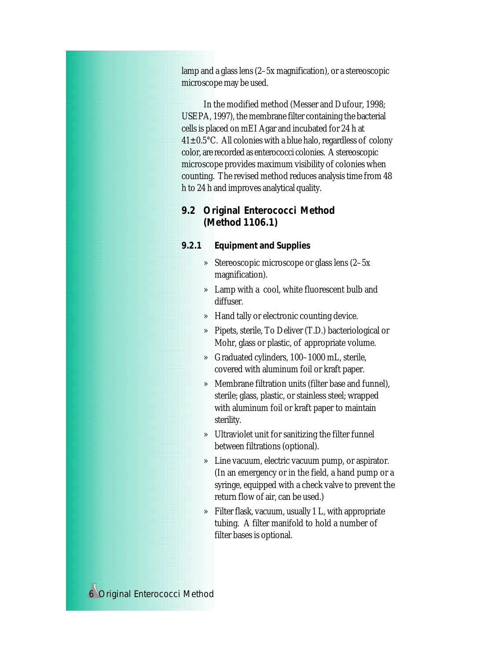lamp and a glass lens (2–5x magnification), or a stereoscopic microscope may be used.

In the modified method (Messer and Dufour, 1998; USEPA, 1997), the membrane filter containing the bacterial cells is placed on mEI Agar and incubated for 24 h at  $41 \pm 0.5$  °C. All colonies with a blue halo, regardless of colony color, are recorded as enterococci colonies. A stereoscopic microscope provides maximum visibility of colonies when counting. The revised method reduces analysis time from 48 h to 24 h and improves analytical quality.

# **9.2 Original Enterococci Method (Method 1106.1)**

- *9.2.1 Equipment and Supplies*
	- » Stereoscopic microscope or glass lens (2–5x magnification).
	- » Lamp with a cool, white fluorescent bulb and diffuser.
	- » Hand tally or electronic counting device.
	- » Pipets, sterile, To Deliver (T.D.) bacteriological or Mohr, glass or plastic, of appropriate volume.
	- » Graduated cylinders, 100–1000 mL, sterile, covered with aluminum foil or kraft paper.
	- » Membrane filtration units (filter base and funnel), sterile; glass, plastic, or stainless steel; wrapped with aluminum foil or kraft paper to maintain sterility.
	- » Ultraviolet unit for sanitizing the filter funnel between filtrations (optional).
	- » Line vacuum, electric vacuum pump, or aspirator. (In an emergency or in the field, a hand pump or a syringe, equipped with a check valve to prevent the return flow of air, can be used.)
	- » Filter flask, vacuum, usually 1 L, with appropriate tubing. A filter manifold to hold a number of filter bases is optional.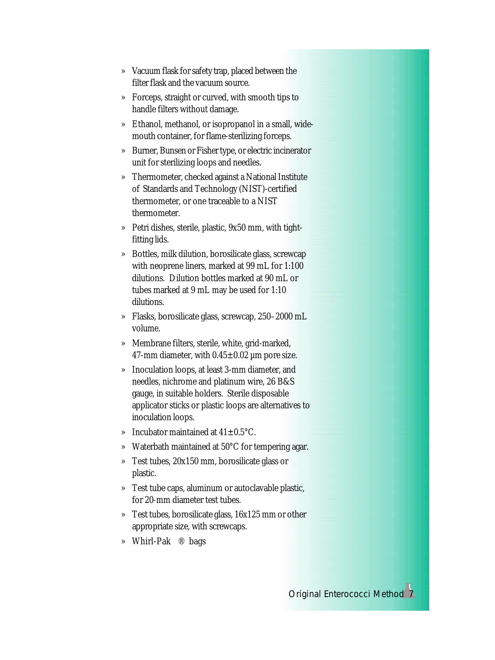- » Vacuum flask for safety trap, placed between the filter flask and the vacuum source.
- » Forceps, straight or curved, with smooth tips to handle filters without damage.
- » Ethanol, methanol, or isopropanol in a small, widemouth container, for flame-sterilizing forceps.
- » Burner, Bunsen or Fisher type, or electric incinerator unit for sterilizing loops and needles.
- » Thermometer, checked against a National Institute of Standards and Technology (NIST)-certified thermometer, or one traceable to a NIST thermometer.
- » Petri dishes, sterile, plastic, 9x50 mm, with tightfitting lids.
- » Bottles, milk dilution, borosilicate glass, screwcap with neoprene liners, marked at 99 mL for 1:100 dilutions. Dilution bottles marked at 90 mL or tubes marked at 9 mL may be used for 1:10 dilutions.
- » Flasks, borosilicate glass, screwcap, 250–2000 mL volume.
- » Membrane filters, sterile, white, grid-marked, 47-mm diameter, with  $0.45 \pm 0.02$  µm pore size.
- » Inoculation loops, at least 3-mm diameter, and needles, nichrome and platinum wire, 26 B&S gauge, in suitable holders. Sterile disposable applicator sticks or plastic loops are alternatives to inoculation loops.
- » Incubator maintained at 41±0.5°C.
- » Waterbath maintained at 50°C for tempering agar.
- » Test tubes, 20x150 mm, borosilicate glass or plastic.
- » Test tube caps, aluminum or autoclavable plastic, for 20-mm diameter test tubes.
- » Test tubes, borosilicate glass, 16x125 mm or other appropriate size, with screwcaps.
- » Whirl-Pak® bags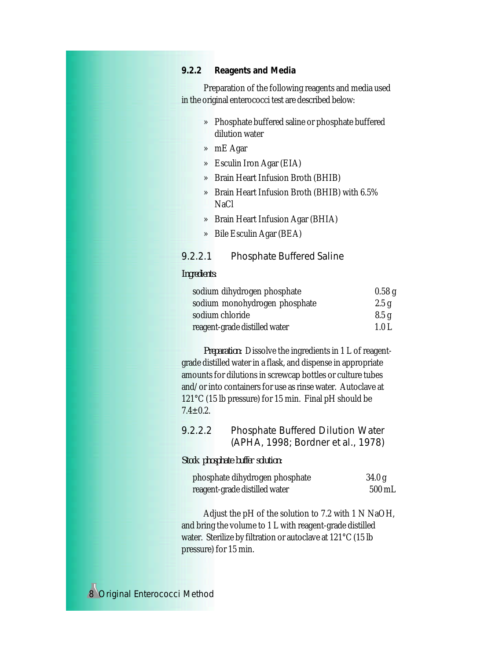### *9.2.2 Reagents and Media*

Preparation of the following reagents and media used in the original enterococci test are described below:

- » Phosphate buffered saline or phosphate buffered dilution water
- » mE Agar
- » Esculin Iron Agar (EIA)
- » Brain Heart Infusion Broth (BHIB)
- » Brain Heart Infusion Broth (BHIB) with 6.5% NaCl
- » Brain Heart Infusion Agar (BHIA)
- » Bile Esculin Agar (BEA)

### 9.2.2.1 Phosphate Buffered Saline

#### *Ingredients:*

| sodium dihydrogen phosphate   | 0.58g |
|-------------------------------|-------|
| sodium monohydrogen phosphate | 2.5g  |
| sodium chloride               | 8.5g  |
| reagent-grade distilled water | 1.0 L |

*Preparation:* Dissolve the ingredients in 1 L of reagentgrade distilled water in a flask, and dispense in appropriate amounts for dilutions in screwcap bottles or culture tubes and/or into containers for use as rinse water. Autoclave at 121°C (15 lb pressure) for 15 min. Final pH should be  $7.4 + 0.2.$ 

# 9.2.2.2 Phosphate Buffered Dilution Water (APHA, 1998; Bordner *et al.*, 1978)

*Stock phosphate buffer solution:*

| phosphate dihydrogen phosphate | 34.0 g              |
|--------------------------------|---------------------|
| reagent-grade distilled water  | $500 \,\mathrm{mL}$ |

Adjust the pH of the solution to 7.2 with 1 N NaOH, and bring the volume to 1 L with reagent-grade distilled water. Sterilize by filtration or autoclave at 121°C (15 lb pressure) for 15 min.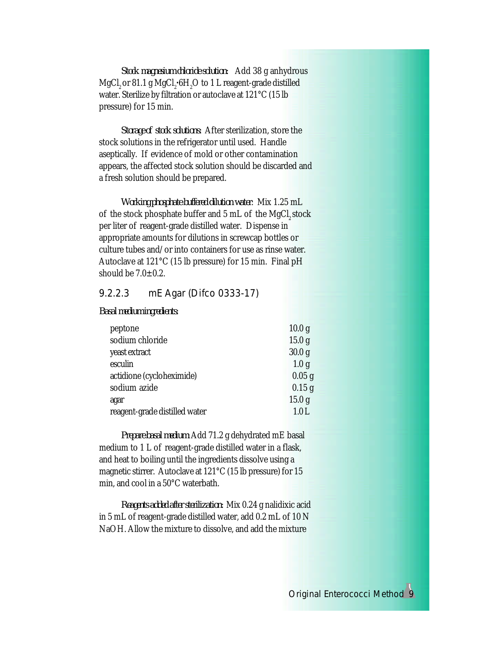*Stock magnesium chloride solution:* Add 38 g anhydrous MgCl<sub>2</sub> or 81.1 g MgCl<sub>2</sub>•6H<sub>2</sub>O to 1 L reagent-grade distilled water. Sterilize by filtration or autoclave at 121°C (15 lb pressure) for 15 min.

*Storage of stock solutions:* After sterilization, store the stock solutions in the refrigerator until used. Handle aseptically. If evidence of mold or other contamination appears, the affected stock solution should be discarded and a fresh solution should be prepared.

*Working phosphate buffered dilution water*: Mix 1.25 mL of the stock phosphate buffer and 5 mL of the MgCl<sub>2</sub> stock per liter of reagent-grade distilled water. Dispense in appropriate amounts for dilutions in screwcap bottles or culture tubes and/or into containers for use as rinse water. Autoclave at 121°C (15 lb pressure) for 15 min. Final pH should be  $7.0\pm0.2$ .

### 9.2.2.3 mE Agar (Difco 0333-17)

*Basal medium ingredients:*

| peptone                       | 10.0 <sub>g</sub> |
|-------------------------------|-------------------|
| sodium chloride               | 15.0 <sub>g</sub> |
| yeast extract                 | 30.0 <sub>g</sub> |
| esculin                       | 1.0 <sub>g</sub>  |
| actidione (cycloheximide)     | $0.05$ g          |
| sodium azide                  | $0.15$ g          |
| agar                          | 15.0 <sub>g</sub> |
| reagent-grade distilled water | 1.0L              |

*Prepare basal medium:* Add 71.2 g dehydrated mE basal medium to 1 L of reagent-grade distilled water in a flask, and heat to boiling until the ingredients dissolve using a magnetic stirrer. Autoclave at 121°C (15 lb pressure) for 15 min, and cool in a 50°C waterbath.

*Reagents added after sterilization:* Mix 0.24 g nalidixic acid in 5 mL of reagent-grade distilled water, add 0.2 mL of 10 N NaOH. Allow the mixture to dissolve, and add the mixture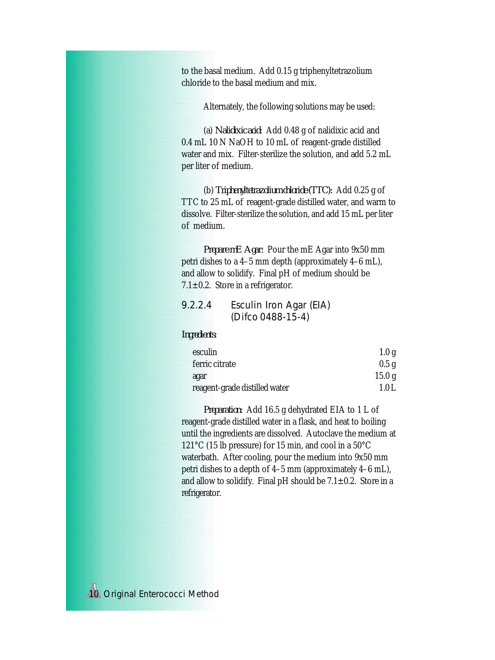to the basal medium. Add 0.15 g triphenyltetrazolium chloride to the basal medium and mix.

Alternately, the following solutions may be used:

(a) *Nalidixic acid:* Add 0.48 g of nalidixic acid and 0.4 mL 10 N NaOH to 10 mL of reagent-grade distilled water and mix. Filter-sterilize the solution, and add 5.2 mL per liter of medium.

(b) *Triphenyltetrazolium chloride (TTC):* Add 0.25 g of TTC to 25 mL of reagent-grade distilled water, and warm to dissolve. Filter-sterilize the solution, and add 15 mL per liter of medium.

*Prepare mE Agar:* Pour the mE Agar into 9x50 mm petri dishes to a 4–5 mm depth (approximately 4–6 mL), and allow to solidify. Final pH of medium should be 7.1 $\pm$ 0.2. Store in a refrigerator.

# 9.2.2.4 Esculin Iron Agar (EIA) (Difco 0488-15-4)

### *Ingredients:*

| esculin                       | 1.0 g  |
|-------------------------------|--------|
| ferric citrate                | 0.5 g  |
| agar                          | 15.0 g |
| reagent-grade distilled water | 1.0 L  |

*Preparation:* Add 16.5 g dehydrated EIA to 1 L of reagent-grade distilled water in a flask, and heat to boiling until the ingredients are dissolved. Autoclave the medium at 121°C (15 lb pressure) for 15 min, and cool in a 50°C waterbath. After cooling, pour the medium into 9x50 mm petri dishes to a depth of 4–5 mm (approximately 4–6 mL), and allow to solidify. Final pH should be  $7.1 \pm 0.2$ . Store in a refrigerator.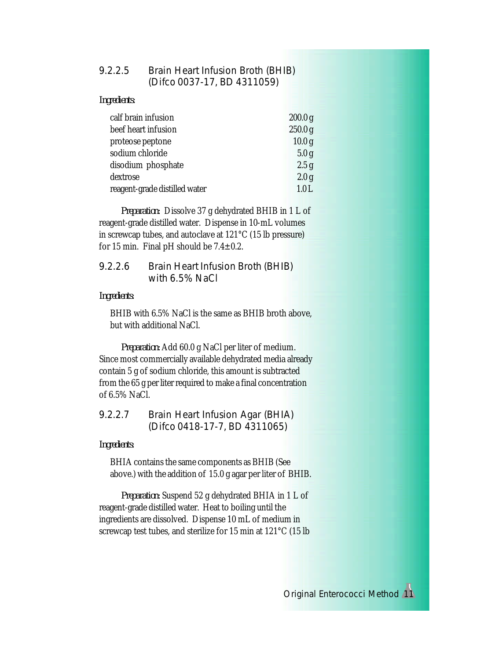# 9.2.2.5 Brain Heart Infusion Broth (BHIB) (Difco 0037-17, BD 4311059)

*Ingredients:*

| calf brain infusion           | 200.0 g            |
|-------------------------------|--------------------|
| beef heart infusion           | 250.0 <sub>g</sub> |
| proteose peptone              | 10.0 <sub>g</sub>  |
| sodium chloride               | 5.0 <sub>g</sub>   |
| disodium phosphate            | 2.5 g              |
| dextrose                      | 2.0 <sub>g</sub>   |
| reagent-grade distilled water | 1.0 L              |

*Preparation:* Dissolve 37 g dehydrated BHIB in 1 L of reagent-grade distilled water. Dispense in 10-mL volumes in screwcap tubes, and autoclave at 121°C (15 lb pressure) for 15 min. Final pH should be  $7.4 \pm 0.2$ .

# 9.2.2.6 Brain Heart Infusion Broth (BHIB) with 6.5% NaCl

*Ingredients:*

BHIB with 6.5% NaCl is the same as BHIB broth above, but with additional NaCl.

*Preparation:* Add 60.0 g NaCl per liter of medium. Since most commercially available dehydrated media already contain 5 g of sodium chloride, this amount is subtracted from the 65 g per liter required to make a final concentration of 6.5% NaCl.

9.2.2.7 Brain Heart Infusion Agar (BHIA) (Difco 0418-17-7, BD 4311065)

*Ingredients:*

BHIA contains the same components as BHIB (See above.) with the addition of 15.0 g agar per liter of BHIB.

*Preparation:* Suspend 52 g dehydrated BHIA in 1 L of reagent-grade distilled water. Heat to boiling until the ingredients are dissolved. Dispense 10 mL of medium in screwcap test tubes, and sterilize for 15 min at 121°C (15 lb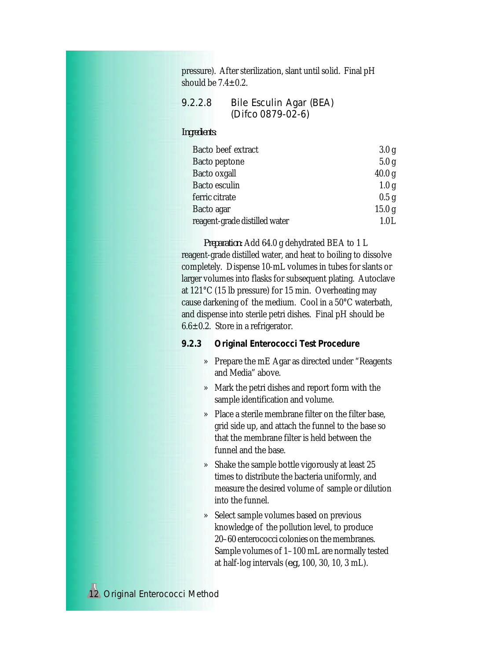pressure). After sterilization, slant until solid. Final pH should be  $7.4 \pm 0.2$ .

9.2.2.8 Bile Esculin Agar (BEA) (Difco 0879-02-6)

### *Ingredients:*

| Bacto beef extract            | 3.0 <sub>g</sub>  |
|-------------------------------|-------------------|
| Bacto peptone                 | 5.0 <sub>g</sub>  |
| Bacto oxgall                  | 40.0 <sub>g</sub> |
| Bacto esculin                 | 1.0 <sub>g</sub>  |
| ferric citrate                | 0.5 <sub>g</sub>  |
| Bacto agar                    | 15.0 <sub>g</sub> |
| reagent-grade distilled water | $1.0$ L           |

*Preparation:* Add 64.0 g dehydrated BEA to 1 L reagent-grade distilled water, and heat to boiling to dissolve completely. Dispense 10-mL volumes in tubes for slants or larger volumes into flasks for subsequent plating. Autoclave at 121°C (15 lb pressure) for 15 min. Overheating may cause darkening of the medium. Cool in a 50°C waterbath, and dispense into sterile petri dishes. Final pH should be  $6.6 \pm 0.2$ . Store in a refrigerator.

- *9.2.3 Original Enterococci Test Procedure*
	- » Prepare the mE Agar as directed under "Reagents and Media" above.
	- » Mark the petri dishes and report form with the sample identification and volume.
	- » Place a sterile membrane filter on the filter base, grid side up, and attach the funnel to the base so that the membrane filter is held between the funnel and the base.
	- » Shake the sample bottle vigorously at least 25 times to distribute the bacteria uniformly, and measure the desired volume of sample or dilution into the funnel.
	- » Select sample volumes based on previous knowledge of the pollution level, to produce 20–60 enterococci colonies on the membranes. Sample volumes of 1–100 mL are normally tested at half-log intervals (*e.g.,* 100, 30, 10, 3 mL).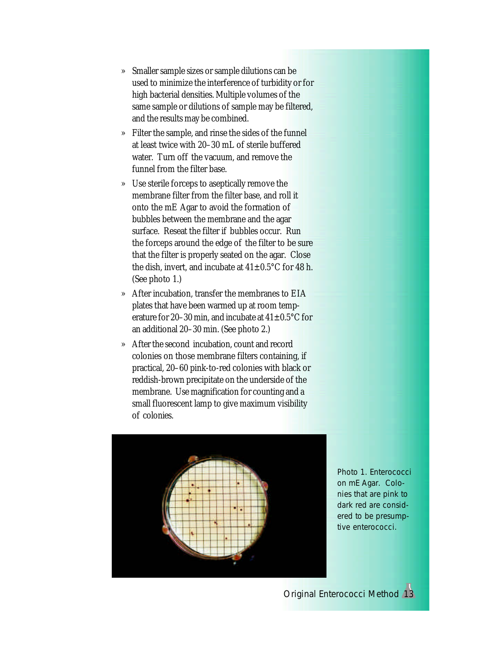- » Smaller sample sizes or sample dilutions can be used to minimize the interference of turbidity or for high bacterial densities. Multiple volumes of the same sample or dilutions of sample may be filtered, and the results may be combined.
- » Filter the sample, and rinse the sides of the funnel at least twice with 20–30 mL of sterile buffered water. Turn off the vacuum, and remove the funnel from the filter base.
- » Use sterile forceps to aseptically remove the membrane filter from the filter base, and roll it onto the mE Agar to avoid the formation of bubbles between the membrane and the agar surface. Reseat the filter if bubbles occur. Run the forceps around the edge of the filter to be sure that the filter is properly seated on the agar. Close the dish, invert, and incubate at  $41\pm0.5^{\circ}$ C for 48 h. (See photo 1.)
- » After incubation, transfer the membranes to EIA plates that have been warmed up at room temperature for 20–30 min, and incubate at  $41\pm0.5^{\circ}$ C for an additional 20–30 min. (See photo 2.)
- » After the second incubation, count and record colonies on those membrane filters containing, if practical, 20–60 pink-to-red colonies with black or reddish-brown precipitate on the underside of the membrane. Use magnification for counting and a small fluorescent lamp to give maximum visibility of colonies.



Photo 1. Enterococci on mE Agar. Colonies that are pink to dark red are considered to be presumptive enterococci.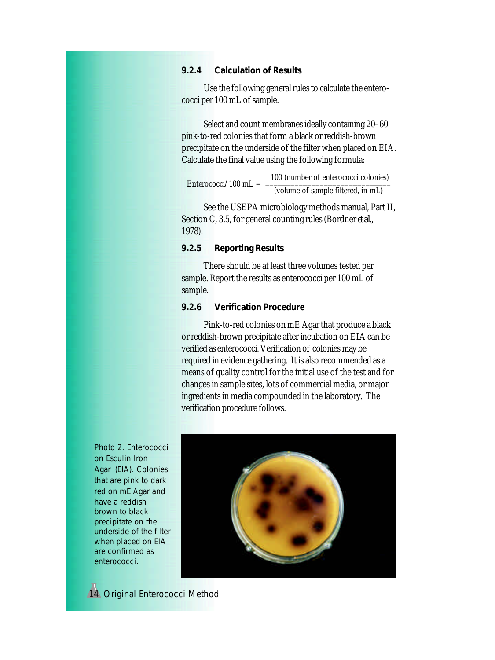### *9.2.4 Calculation of Results*

Use the following general rules to calculate the enterococci per 100 mL of sample.

Select and count membranes ideally containing 20–60 pink-to-red colonies that form a black or reddish-brown precipitate on the underside of the filter when placed on EIA. Calculate the final value using the following formula:

 100 (number of enterococci colonies) Enterococci/100 mL  $=$ (volume of sample filtered, in mL)

See the USEPA microbiology methods manual, Part II, Section C, 3.5, for general counting rules (Bordner *et al*., 1978).

### *9.2.5 Reporting Results*

There should be at least three volumes tested per sample. Report the results as enterococci per 100 mL of sample.

### *9.2.6 Verification Procedure*

Pink-to-red colonies on mE Agar that produce a black or reddish-brown precipitate after incubation on EIA can be verified as enterococci. Verification of colonies may be required in evidence gathering. It is also recommended as a means of quality control for the initial use of the test and for changes in sample sites, lots of commercial media, or major ingredients in media compounded in the laboratory. The verification procedure follows.

Photo 2. Enterococci on Esculin Iron Agar (EIA). Colonies that are pink to dark red on mE Agar and have a reddish brown to black precipitate on the underside of the filter when placed on EIA are confirmed as enterococci.

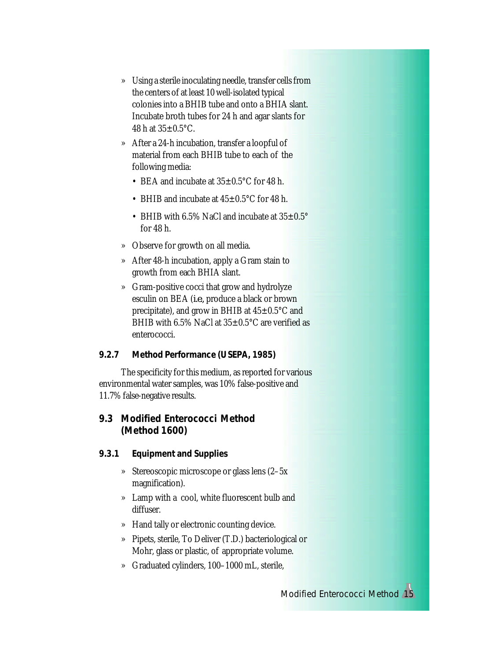- » Using a sterile inoculating needle, transfer cells from the centers of at least 10 well-isolated typical colonies into a BHIB tube and onto a BHIA slant. Incubate broth tubes for 24 h and agar slants for 48 h at  $35 \pm 0.5$ °C.
- » After a 24-h incubation, transfer a loopful of material from each BHIB tube to each of the following media:
	- BEA and incubate at  $35\pm0.5^{\circ}$ C for 48 h.
	- BHIB and incubate at  $45\pm0.5^{\circ}$ C for 48 h.
	- BHIB with 6.5% NaCl and incubate at  $35\pm0.5^{\circ}$ for 48 h.
- » Observe for growth on all media.
- » After 48-h incubation, apply a Gram stain to growth from each BHIA slant.
- » Gram-positive cocci that grow and hydrolyze esculin on BEA (*i.e.,* produce a black or brown precipitate), and grow in BHIB at  $45\pm0.5^{\circ}$ C and BHIB with 6.5% NaCl at  $35\pm0.5^{\circ}$ C are verified as enterococci.
- *9.2.7 Method Performance (USEPA, 1985)*

The specificity for this medium, as reported for various environmental water samples, was 10% false-positive and 11.7% false-negative results.

# **9.3 Modified Enterococci Method (Method 1600)**

- *9.3.1 Equipment and Supplies*
	- » Stereoscopic microscope or glass lens (2–5x magnification).
	- » Lamp with a cool, white fluorescent bulb and diffuser.
	- » Hand tally or electronic counting device.
	- » Pipets, sterile, To Deliver (T.D.) bacteriological or Mohr, glass or plastic, of appropriate volume.
	- » Graduated cylinders, 100–1000 mL, sterile,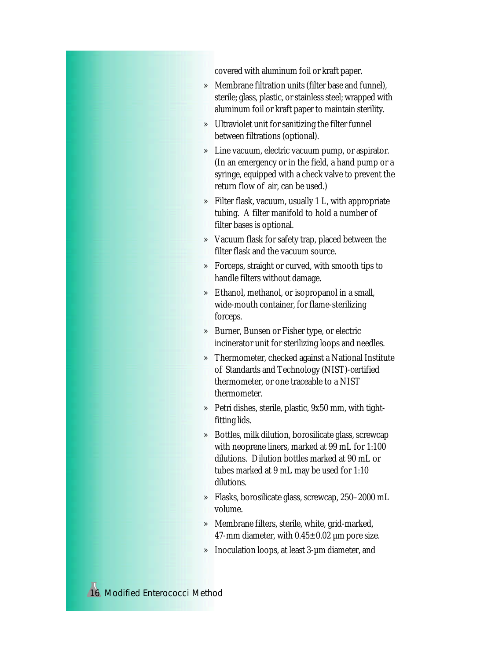covered with aluminum foil or kraft paper.

- » Membrane filtration units (filter base and funnel), sterile; glass, plastic, or stainless steel; wrapped with aluminum foil or kraft paper to maintain sterility.
- » Ultraviolet unit for sanitizing the filter funnel between filtrations (optional).
- » Line vacuum, electric vacuum pump, or aspirator. (In an emergency or in the field, a hand pump or a syringe, equipped with a check valve to prevent the return flow of air, can be used.)
- » Filter flask, vacuum, usually 1 L, with appropriate tubing. A filter manifold to hold a number of filter bases is optional.
- » Vacuum flask for safety trap, placed between the filter flask and the vacuum source.
- » Forceps, straight or curved, with smooth tips to handle filters without damage.
- » Ethanol, methanol, or isopropanol in a small, wide-mouth container, for flame-sterilizing forceps.
- » Burner, Bunsen or Fisher type, or electric incinerator unit for sterilizing loops and needles.
- » Thermometer, checked against a National Institute of Standards and Technology (NIST)-certified thermometer, or one traceable to a NIST thermometer.
- » Petri dishes, sterile, plastic, 9x50 mm, with tightfitting lids.
- » Bottles, milk dilution, borosilicate glass, screwcap with neoprene liners, marked at 99 mL for 1:100 dilutions. Dilution bottles marked at 90 mL or tubes marked at 9 mL may be used for 1:10 dilutions.
- » Flasks, borosilicate glass, screwcap, 250–2000 mL volume.
- » Membrane filters, sterile, white, grid-marked, 47-mm diameter, with  $0.45 \pm 0.02$  µm pore size.
- » Inoculation loops, at least 3-µm diameter, and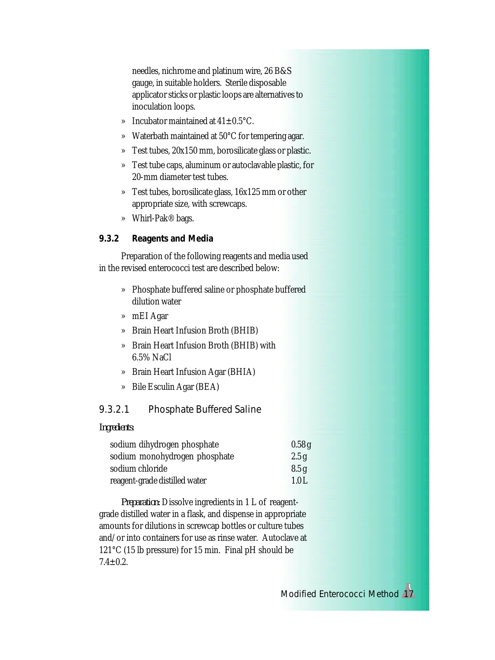needles, nichrome and platinum wire, 26 B&S gauge, in suitable holders. Sterile disposable applicator sticks or plastic loops are alternatives to inoculation loops.

- » Incubator maintained at  $41\pm0.5^{\circ}$ C.
- » Waterbath maintained at 50°C for tempering agar.
- » Test tubes, 20x150 mm, borosilicate glass or plastic.
- » Test tube caps, aluminum or autoclavable plastic, for 20-mm diameter test tubes.
- » Test tubes, borosilicate glass, 16x125 mm or other appropriate size, with screwcaps.
- » Whirl-Pak® bags.

### *9.3.2 Reagents and Media*

Preparation of the following reagents and media used in the revised enterococci test are described below:

- » Phosphate buffered saline or phosphate buffered dilution water
- » mEI Agar
- » Brain Heart Infusion Broth (BHIB)
- » Brain Heart Infusion Broth (BHIB) with 6.5% NaCl
- » Brain Heart Infusion Agar (BHIA)
- » Bile Esculin Agar (BEA)

# 9.3.2.1 Phosphate Buffered Saline

#### *Ingredients:*

| sodium dihydrogen phosphate   | 0.58g |
|-------------------------------|-------|
| sodium monohydrogen phosphate | 2.5g  |
| sodium chloride               | 8.5g  |
| reagent-grade distilled water | 1.0L  |

*Preparation:* Dissolve ingredients in 1 L of reagentgrade distilled water in a flask, and dispense in appropriate amounts for dilutions in screwcap bottles or culture tubes and/or into containers for use as rinse water. Autoclave at 121°C (15 lb pressure) for 15 min. Final pH should be  $7.4 \pm 0.2$ .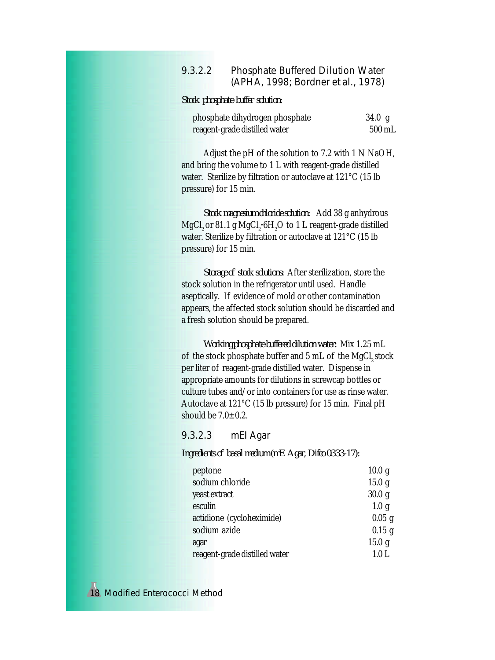### 9.3.2.2 Phosphate Buffered Dilution Water (APHA, 1998; Bordner *et al*., 1978)

*Stock phosphate buffer solution:*

| phosphate dihydrogen phosphate | 34.0 g           |
|--------------------------------|------------------|
| reagent-grade distilled water  | $500 \text{ mL}$ |

Adjust the pH of the solution to 7.2 with 1 N NaOH, and bring the volume to 1 L with reagent-grade distilled water. Sterilize by filtration or autoclave at 121°C (15 lb pressure) for 15 min.

*Stock magnesium chloride solution:* Add 38 g anhydrous MgCl<sub>2</sub> or 81.1 g MgCl<sub>2</sub>•6H<sub>2</sub>O to 1 L reagent-grade distilled water. Sterilize by filtration or autoclave at 121°C (15 lb pressure) for 15 min.

*Storage of stock solutions:* After sterilization, store the stock solution in the refrigerator until used. Handle aseptically. If evidence of mold or other contamination appears, the affected stock solution should be discarded and a fresh solution should be prepared.

*Working phosphate buffered dilution water:* Mix 1.25 mL of the stock phosphate buffer and 5 mL of the MgCl<sub>2</sub> stock per liter of reagent-grade distilled water. Dispense in appropriate amounts for dilutions in screwcap bottles or culture tubes and/or into containers for use as rinse water. Autoclave at 121°C (15 lb pressure) for 15 min. Final pH should be  $7.0\pm0.2$ .

9.3.2.3 mEI Agar

*Ingredients of basal medium (mE Agar, Difco 0333-17):*

| peptone                       | 10.0 <sub>g</sub> |
|-------------------------------|-------------------|
| sodium chloride               | 15.0 g            |
| yeast extract                 | 30.0 g            |
| esculin                       | 1.0 <sub>g</sub>  |
| actidione (cycloheximide)     | $0.05$ g          |
| sodium azide                  | $0.15$ g          |
| agar                          | 15.0 g            |
| reagent-grade distilled water | 1.0 <sub>L</sub>  |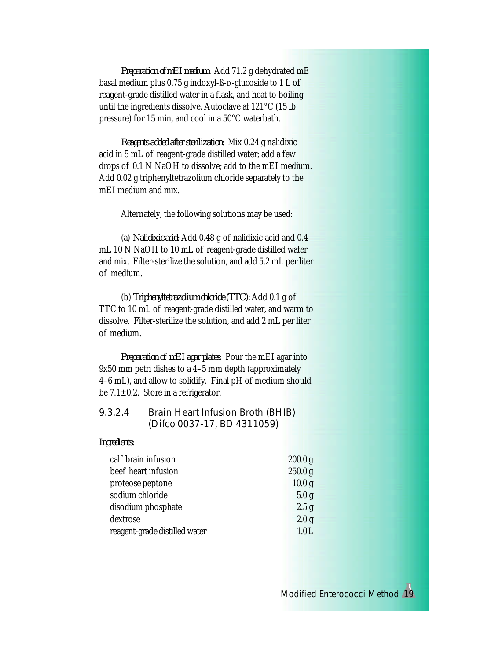*Preparation of mEI medium:* Add 71.2 g dehydrated mE basal medium plus 0.75 g indoxyl-ß-D-glucoside to 1 L of reagent-grade distilled water in a flask, and heat to boiling until the ingredients dissolve. Autoclave at 121°C (15 lb pressure) for 15 min, and cool in a 50°C waterbath.

*Reagents added after sterilization:* Mix 0.24 g nalidixic acid in 5 mL of reagent-grade distilled water; add a few drops of 0.1 N NaOH to dissolve; add to the mEI medium. Add 0.02 g triphenyltetrazolium chloride separately to the mEI medium and mix.

Alternately, the following solutions may be used:

(a) *Nalidixic acid:* Add 0.48 g of nalidixic acid and 0.4 mL 10 N NaOH to 10 mL of reagent-grade distilled water and mix. Filter-sterilize the solution, and add 5.2 mL per liter of medium.

(b) *Triphenyltetrazolium chloride (TTC):* Add 0.1 g of TTC to 10 mL of reagent-grade distilled water, and warm to dissolve. Filter-sterilize the solution, and add 2 mL per liter of medium.

*Preparation of mEI agar plates:* Pour the mEI agar into 9x50 mm petri dishes to a 4–5 mm depth (approximately 4–6 mL), and allow to solidify. Final pH of medium should be  $7.1 \pm 0.2$ . Store in a refrigerator.

# 9.3.2.4 Brain Heart Infusion Broth (BHIB) (Difco 0037-17, BD 4311059)

*Ingredients:*

| calf brain infusion           | 200.0 <sub>g</sub> |
|-------------------------------|--------------------|
| beef heart infusion           | 250.0 <sub>g</sub> |
| proteose peptone              | 10.0 <sub>g</sub>  |
| sodium chloride               | 5.0 <sub>g</sub>   |
| disodium phosphate            | 2.5 g              |
| dextrose                      | 2.0 <sub>g</sub>   |
| reagent-grade distilled water | 1.0L               |
|                               |                    |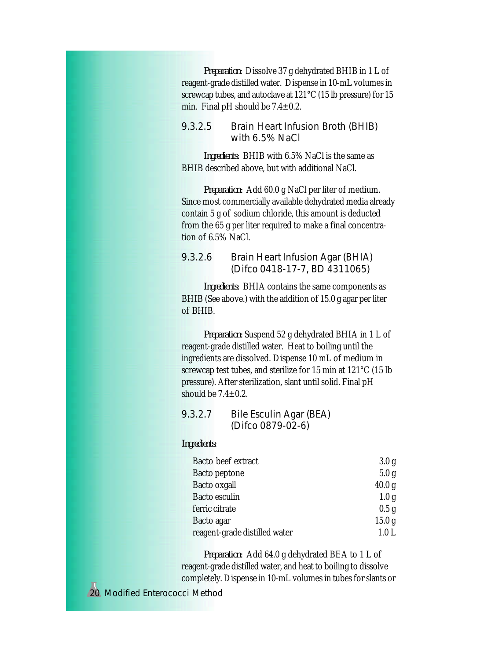*Preparation:* Dissolve 37 g dehydrated BHIB in 1 L of reagent-grade distilled water. Dispense in 10-mL volumes in screwcap tubes, and autoclave at 121°C (15 lb pressure) for 15 min. Final pH should be 7.4±0.2.

### 9.3.2.5 Brain Heart Infusion Broth (BHIB) with 6.5% NaCl

*Ingredients:* BHIB with 6.5% NaCl is the same as BHIB described above, but with additional NaCl.

*Preparation:* Add 60.0 g NaCl per liter of medium. Since most commercially available dehydrated media already contain 5 g of sodium chloride, this amount is deducted from the 65 g per liter required to make a final concentration of 6.5% NaCl.

### 9.3.2.6 Brain Heart Infusion Agar (BHIA) (Difco 0418-17-7, BD 4311065)

*Ingredients:* BHIA contains the same components as BHIB (See above.) with the addition of 15.0 g agar per liter of BHIB.

*Preparation:* Suspend 52 g dehydrated BHIA in 1 L of reagent-grade distilled water. Heat to boiling until the ingredients are dissolved. Dispense 10 mL of medium in screwcap test tubes, and sterilize for 15 min at 121°C (15 lb pressure). After sterilization, slant until solid. Final pH should be  $7.4 \pm 0.2$ .

# 9.3.2.7 Bile Esculin Agar (BEA) (Difco 0879-02-6)

### *Ingredients:*

| Bacto beef extract            | 3.0 <sub>g</sub>  |
|-------------------------------|-------------------|
| Bacto peptone                 | 5.0 <sub>g</sub>  |
| Bacto oxgall                  | 40.0 <sub>g</sub> |
| Bacto esculin                 | 1.0 <sub>g</sub>  |
| ferric citrate                | 0.5 <sub>g</sub>  |
| Bacto agar                    | 15.0 <sub>g</sub> |
| reagent-grade distilled water | 1.0 L             |

*Preparation:* Add 64.0 g dehydrated BEA to 1 L of reagent-grade distilled water, and heat to boiling to dissolve completely. Dispense in 10-mL volumes in tubes for slants or

20 *Modified Enterococci Method*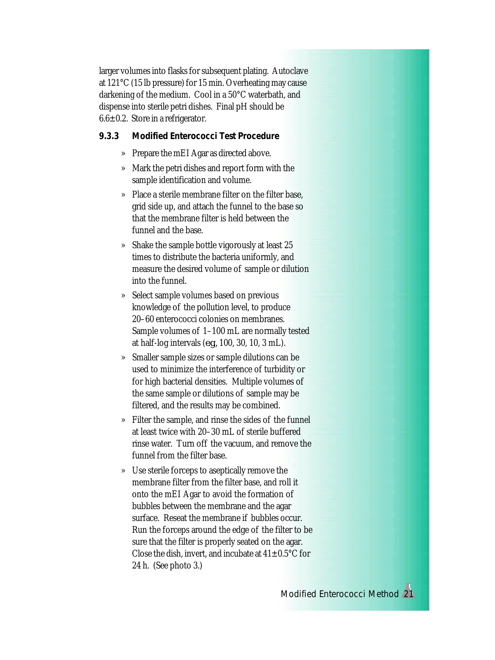larger volumes into flasks for subsequent plating. Autoclave at 121°C (15 lb pressure) for 15 min. Overheating may cause darkening of the medium. Cool in a 50°C waterbath, and dispense into sterile petri dishes. Final pH should be  $6.6 \pm 0.2$ . Store in a refrigerator.

*9.3.3 Modified Enterococci Test Procedure*

- » Prepare the mEI Agar as directed above.
- » Mark the petri dishes and report form with the sample identification and volume.
- » Place a sterile membrane filter on the filter base, grid side up, and attach the funnel to the base so that the membrane filter is held between the funnel and the base.
- » Shake the sample bottle vigorously at least 25 times to distribute the bacteria uniformly, and measure the desired volume of sample or dilution into the funnel.
- » Select sample volumes based on previous knowledge of the pollution level, to produce 20–60 enterococci colonies on membranes. Sample volumes of 1–100 mL are normally tested at half-log intervals (*e.g.,* 100, 30, 10, 3 mL).
- » Smaller sample sizes or sample dilutions can be used to minimize the interference of turbidity or for high bacterial densities. Multiple volumes of the same sample or dilutions of sample may be filtered, and the results may be combined.
- » Filter the sample, and rinse the sides of the funnel at least twice with 20–30 mL of sterile buffered rinse water. Turn off the vacuum, and remove the funnel from the filter base.
- » Use sterile forceps to aseptically remove the membrane filter from the filter base, and roll it onto the mEI Agar to avoid the formation of bubbles between the membrane and the agar surface. Reseat the membrane if bubbles occur. Run the forceps around the edge of the filter to be sure that the filter is properly seated on the agar. Close the dish, invert, and incubate at  $41\pm0.5\textdegree C$  for 24 h. (See photo 3.)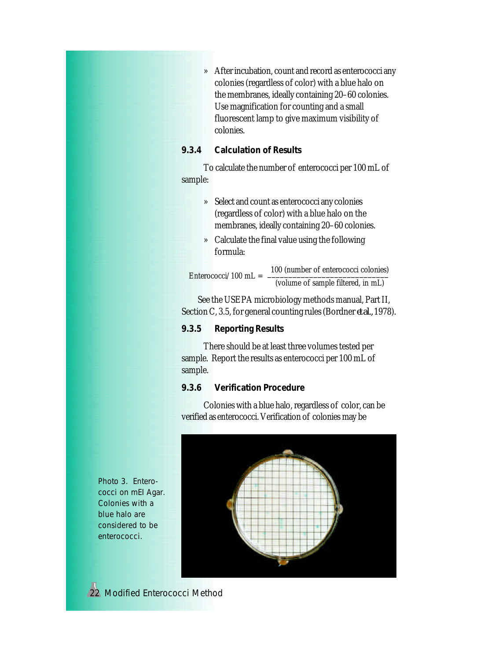» After incubation, count and record as enterococci any colonies (regardless of color) with a blue halo on the membranes, ideally containing 20–60 colonies. Use magnification for counting and a small fluorescent lamp to give maximum visibility of colonies.

# *9.3.4 Calculation of Results*

To calculate the number of enterococci per 100 mL of sample:

- » Select and count as enterococci any colonies (regardless of color) with a blue halo on the membranes, ideally containing 20–60 colonies.
- » Calculate the final value using the following formula:

 100 (number of enterococci colonies)  $Enterococci/100$  mL  $=$ (volume of sample filtered, in mL)

See the USEPA microbiology methods manual, Part II, Section C, 3.5, for general counting rules (Bordner*et al.,* 1978).

### *9.3.5 Reporting Results*

There should be at least three volumes tested per sample. Report the results as enterococci per 100 mL of sample.

### *9.3.6 Verification Procedure*

Colonies with a blue halo, regardless of color, can be verified as enterococci. Verification of colonies may be



Photo 3. Enterococci on mEI Agar. Colonies with a blue halo are considered to be enterococci.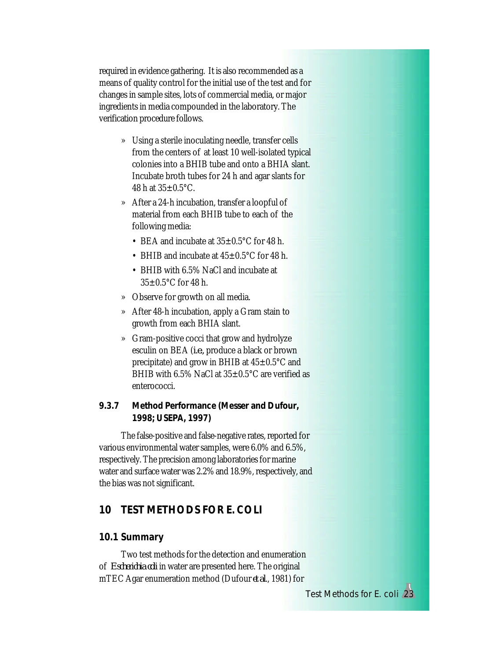required in evidence gathering. It is also recommended as a means of quality control for the initial use of the test and for changes in sample sites, lots of commercial media, or major ingredients in media compounded in the laboratory. The verification procedure follows.

- » Using a sterile inoculating needle, transfer cells from the centers of at least 10 well-isolated typical colonies into a BHIB tube and onto a BHIA slant. Incubate broth tubes for 24 h and agar slants for 48 h at  $35\pm0.5$ °C.
- » After a 24-h incubation, transfer a loopful of material from each BHIB tube to each of the following media:
	- BEA and incubate at  $35\pm0.5^{\circ}$ C for 48 h.
	- BHIB and incubate at  $45\pm0.5^{\circ}$ C for 48 h.
	- BHIB with 6.5% NaCl and incubate at  $35 \pm 0.5$ °C for 48 h.
- » Observe for growth on all media.
- » After 48-h incubation, apply a Gram stain to growth from each BHIA slant.
- » Gram-positive cocci that grow and hydrolyze esculin on BEA (*i.e.,* produce a black or brown precipitate) and grow in BHIB at  $45\pm0.5^{\circ}$ C and BHIB with  $6.5\%$  NaCl at  $35\pm0.5\degree$ C are verified as enterococci.
- *9.3.7 Method Performance (Messer and Dufour, 1998; USEPA, 1997)*

The false-positive and false-negative rates, reported for various environmental water samples, were 6.0% and 6.5%, respectively. The precision among laboratories for marine water and surface water was 2.2% and 18.9%, respectively, and the bias was not significant.

# **10 TEST METHODS FOR** *E. COLI*

### **10.1 Summary**

Two test methods for the detection and enumeration of *Escherichia coli* in water are presented here. The original mTEC Agar enumeration method (Dufour *et al*., 1981) for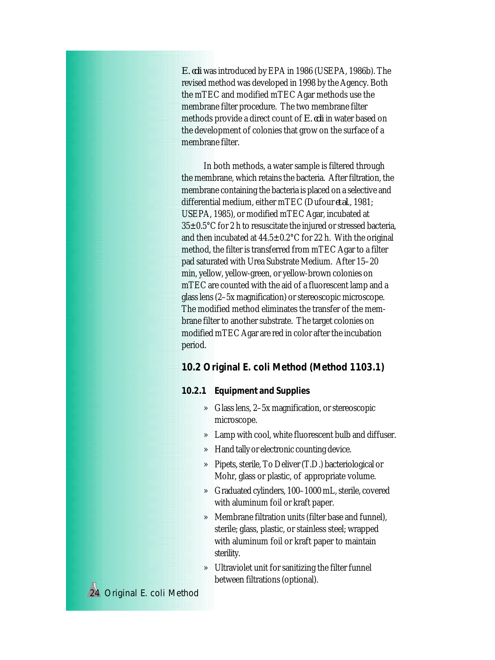*E. coli* was introduced by EPA in 1986 (USEPA, 1986b). The revised method was developed in 1998 by the Agency. Both the mTEC and modified mTEC Agar methods use the membrane filter procedure. The two membrane filter methods provide a direct count of *E. coli* in water based on the development of colonies that grow on the surface of a membrane filter.

In both methods, a water sample is filtered through the membrane, which retains the bacteria. After filtration, the membrane containing the bacteria is placed on a selective and differential medium, either mTEC (Dufour *et al*., 1981; USEPA, 1985), or modified mTEC Agar, incubated at  $35\pm0.5^{\circ}$ C for 2 h to resuscitate the injured or stressed bacteria, and then incubated at  $44.5 \pm 0.2$ °C for 22 h. With the original method, the filter is transferred from mTEC Agar to a filter pad saturated with Urea Substrate Medium. After 15–20 min, yellow, yellow-green, or yellow-brown colonies on mTEC are counted with the aid of a fluorescent lamp and a glass lens (2–5x magnification) or stereoscopic microscope. The modified method eliminates the transfer of the membrane filter to another substrate. The target colonies on modified mTEC Agar are red in color after the incubation period.

### **10.2 Original** *E. coli* **Method (Method 1103.1)**

*10.2.1 Equipment and Supplies*

- » Glass lens, 2–5x magnification, or stereoscopic microscope.
- » Lamp with cool, white fluorescent bulb and diffuser.
- » Hand tally or electronic counting device.
- » Pipets, sterile, To Deliver (T.D.) bacteriological or Mohr, glass or plastic, of appropriate volume.
- » Graduated cylinders, 100–1000 mL, sterile, covered with aluminum foil or kraft paper.
- » Membrane filtration units (filter base and funnel), sterile; glass, plastic, or stainless steel; wrapped with aluminum foil or kraft paper to maintain sterility.
- » Ultraviolet unit for sanitizing the filter funnel between filtrations (optional).

24 Original *E. coli* Method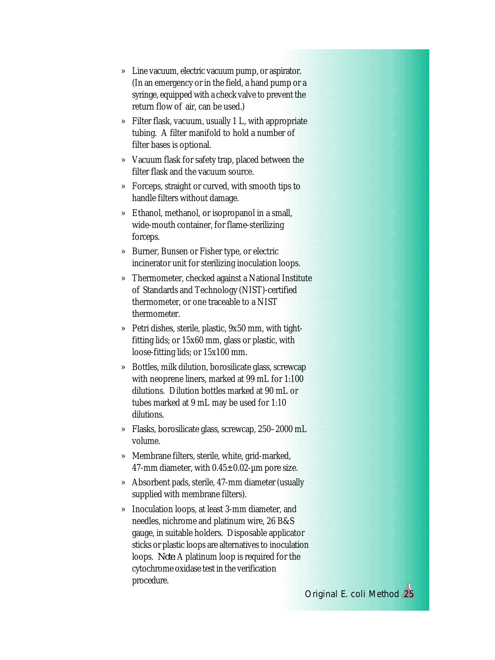- » Line vacuum, electric vacuum pump, or aspirator. (In an emergency or in the field, a hand pump or a syringe, equipped with a check valve to prevent the return flow of air, can be used.)
- » Filter flask, vacuum, usually 1 L, with appropriate tubing. A filter manifold to hold a number of filter bases is optional.
- » Vacuum flask for safety trap, placed between the filter flask and the vacuum source.
- » Forceps, straight or curved, with smooth tips to handle filters without damage.
- » Ethanol, methanol, or isopropanol in a small, wide-mouth container, for flame-sterilizing forceps.
- » Burner, Bunsen or Fisher type, or electric incinerator unit for sterilizing inoculation loops.
- » Thermometer, checked against a National Institute of Standards and Technology (NIST)-certified thermometer, or one traceable to a NIST thermometer.
- » Petri dishes, sterile, plastic, 9x50 mm, with tightfitting lids; or 15x60 mm, glass or plastic, with loose-fitting lids; or 15x100 mm.
- » Bottles, milk dilution, borosilicate glass, screwcap with neoprene liners, marked at 99 mL for 1:100 dilutions. Dilution bottles marked at 90 mL or tubes marked at 9 mL may be used for 1:10 dilutions.
- » Flasks, borosilicate glass, screwcap, 250–2000 mL volume.
- » Membrane filters, sterile, white, grid-marked, 47-mm diameter, with  $0.45 \pm 0.02$ -µm pore size.
- » Absorbent pads, sterile, 47-mm diameter (usually supplied with membrane filters).
- » Inoculation loops, at least 3-mm diameter, and needles, nichrome and platinum wire, 26 B&S gauge, in suitable holders. Disposable applicator sticks or plastic loops are alternatives to inoculation loops. *Note:* A platinum loop is required for the cytochrome oxidase test in the verification procedure.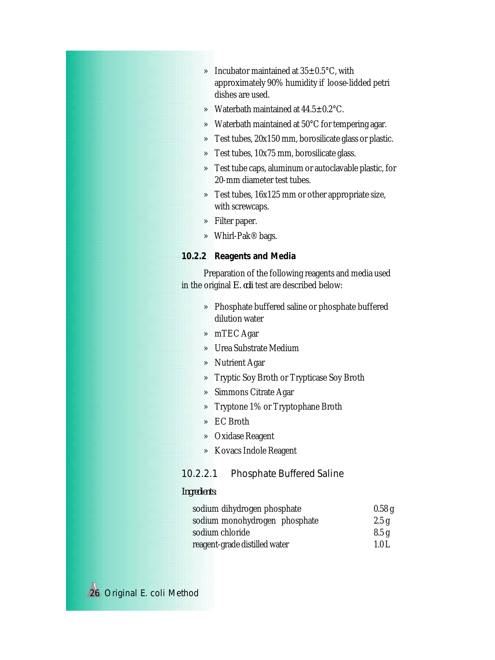- » Incubator maintained at  $35\pm0.5^{\circ}$ C, with approximately 90% humidity if loose-lidded petri dishes are used.
- » Waterbath maintained at 44.5±0.2°C.
- » Waterbath maintained at 50°C for tempering agar.
- » Test tubes, 20x150 mm, borosilicate glass or plastic.
- » Test tubes, 10x75 mm, borosilicate glass.
- » Test tube caps, aluminum or autoclavable plastic, for 20-mm diameter test tubes.
- » Test tubes, 16x125 mm or other appropriate size, with screwcaps.
- » Filter paper.
- » Whirl-Pak® bags.
- *10.2.2 Reagents and Media*

Preparation of the following reagents and media used in the original *E. coli* test are described below:

- » Phosphate buffered saline or phosphate buffered dilution water
- » mTEC Agar
- » Urea Substrate Medium
- » Nutrient Agar
- » Tryptic Soy Broth or Trypticase Soy Broth
- » Simmons Citrate Agar
- » Tryptone 1% or Tryptophane Broth
- » EC Broth
- » Oxidase Reagent
- » Kovacs Indole Reagent

# 10.2.2.1 Phosphate Buffered Saline

### *Ingredients:*

| sodium dihydrogen phosphate   | 0.58g |
|-------------------------------|-------|
| sodium monohydrogen phosphate | 2.5g  |
| sodium chloride               | 8.5g  |
| reagent-grade distilled water | 1.0 L |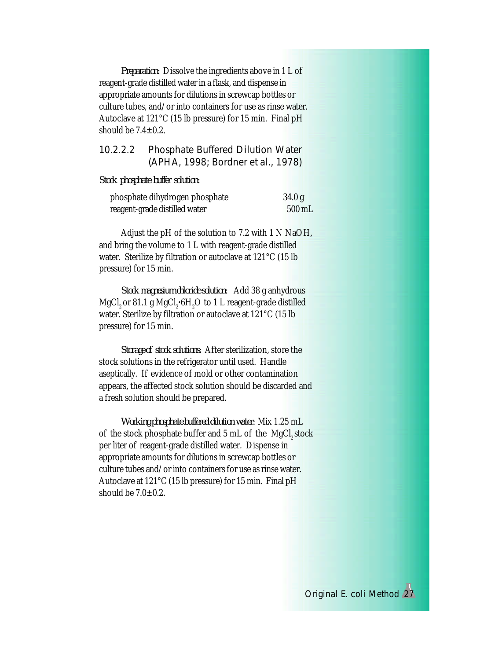*Preparation:* Dissolve the ingredients above in 1 L of reagent-grade distilled water in a flask, and dispense in appropriate amounts for dilutions in screwcap bottles or culture tubes, and/or into containers for use as rinse water. Autoclave at 121°C (15 lb pressure) for 15 min. Final pH should be  $7.4 \pm 0.2$ .

# 10.2.2.2 Phosphate Buffered Dilution Water (APHA, 1998; Bordner *et al.*, 1978)

#### *Stock phosphate buffer solution:*

| phosphate dihydrogen phosphate | 34.0 g             |
|--------------------------------|--------------------|
| reagent-grade distilled water  | $500\,\mathrm{mL}$ |

Adjust the pH of the solution to 7.2 with 1 N NaOH, and bring the volume to 1 L with reagent-grade distilled water. Sterilize by filtration or autoclave at 121°C (15 lb pressure) for 15 min.

*Stock magnesium chloride solution:* Add 38 g anhydrous  ${ {\rm MgCl}_2}$  or 81.1 g  ${ {\rm MgCl}_2 \text{-} 6H_2O}$  to 1 L reagent-grade distilled water. Sterilize by filtration or autoclave at 121°C (15 lb pressure) for 15 min.

*Storage of stock solutions:* After sterilization, store the stock solutions in the refrigerator until used. Handle aseptically. If evidence of mold or other contamination appears, the affected stock solution should be discarded and a fresh solution should be prepared.

*Working phosphate buffered dilution water:* Mix 1.25 mL of the stock phosphate buffer and 5 mL of the MgCl<sub>a</sub>stock per liter of reagent-grade distilled water. Dispense in appropriate amounts for dilutions in screwcap bottles or culture tubes and/or into containers for use as rinse water. Autoclave at 121°C (15 lb pressure) for 15 min. Final pH should be  $7.0\pm0.2$ .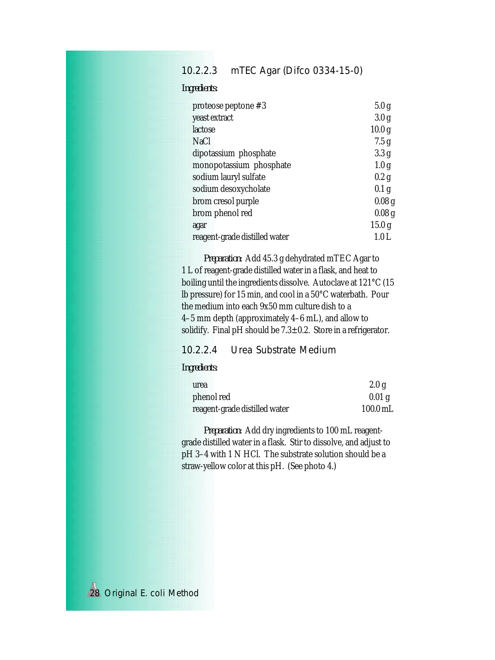# 10.2.2.3 mTEC Agar (Difco 0334-15-0)

*Ingredients:*

| proteose peptone $#3$         | 5.0 <sub>g</sub>  |
|-------------------------------|-------------------|
| yeast extract                 | 3.0 <sub>g</sub>  |
| lactose                       | 10.0 <sub>g</sub> |
| NaCl                          | 7.5 g             |
| dipotassium phosphate         | 3.3 <sub>g</sub>  |
| monopotassium phosphate       | 1.0 <sub>g</sub>  |
| sodium lauryl sulfate         | 0.2 g             |
| sodium desoxycholate          | 0.1 <sub>g</sub>  |
| brom cresol purple            | 0.08 <sub>g</sub> |
| brom phenol red               | 0.08 <sub>g</sub> |
| agar                          | 15.0 <sub>g</sub> |
| reagent-grade distilled water | 1.0 L             |

*Preparation:* Add 45.3 g dehydrated mTEC Agar to 1 L of reagent-grade distilled water in a flask, and heat to boiling until the ingredients dissolve. Autoclave at 121°C (15 lb pressure) for 15 min, and cool in a 50°C waterbath. Pour the medium into each 9x50 mm culture dish to a 4–5 mm depth (approximately 4–6 mL), and allow to solidify. Final pH should be 7.3±0.2. Store in a refrigerator.

# 10.2.2.4 Urea Substrate Medium

### *Ingredients:*

| urea                          | 2.0 g      |
|-------------------------------|------------|
| phenol red                    | $0.01$ g   |
| reagent-grade distilled water | $100.0$ mL |

*Preparation:* Add dry ingredients to 100 mL reagentgrade distilled water in a flask. Stir to dissolve, and adjust to pH 3–4 with 1 N HCl. The substrate solution should be a straw-yellow color at this pH. (See photo 4.)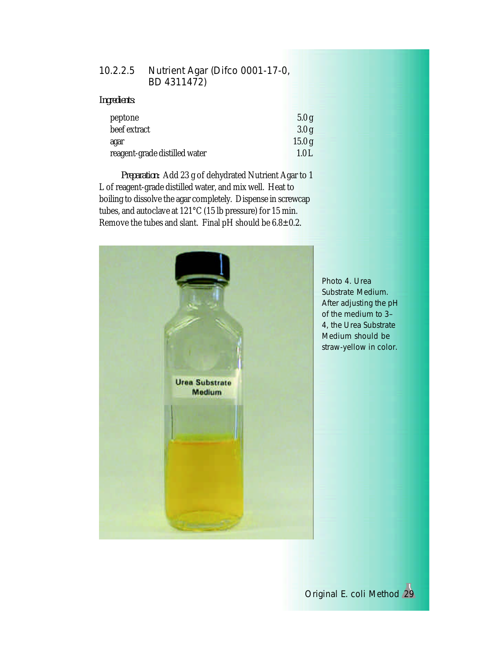# 10.2.2.5 Nutrient Agar (Difco 0001-17-0, BD 4311472)

*Ingredients:*

| 5.0g  |
|-------|
| 3.0g  |
| 15.0g |
| 1.0 L |
|       |

*Preparation:* Add 23 g of dehydrated Nutrient Agar to 1 L of reagent-grade distilled water, and mix well. Heat to boiling to dissolve the agar completely. Dispense in screwcap tubes, and autoclave at 121°C (15 lb pressure) for 15 min. Remove the tubes and slant. Final pH should be 6.8±0.2.



Photo 4. Urea Substrate Medium. After adjusting the pH of the medium to 3– 4, the Urea Substrate Medium should be straw-yellow in color.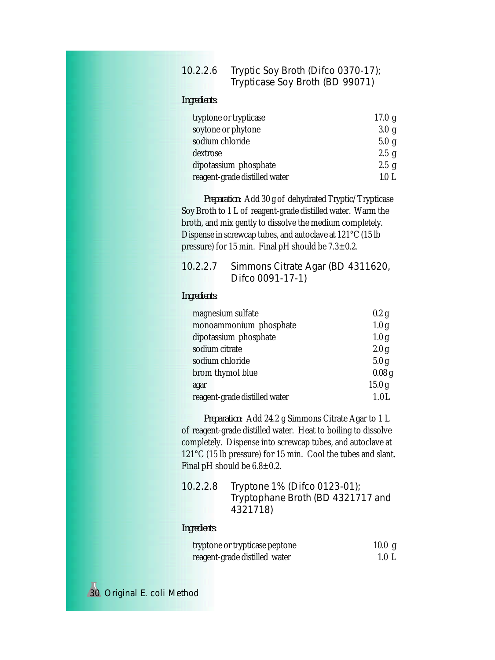# 10.2.2.6 Tryptic Soy Broth (Difco 0370-17); Trypticase Soy Broth (BD 99071)

### *Ingredients:*

| tryptone or trypticase        | 17.0 g |
|-------------------------------|--------|
| soytone or phytone            | 3.0 g  |
| sodium chloride               | 5.0 g  |
| dextrose                      | 2.5 g  |
| dipotassium phosphate         | 2.5 g  |
| reagent-grade distilled water | 1.0 L  |

*Preparation:* Add 30 g of dehydrated Tryptic/Trypticase Soy Broth to 1 L of reagent-grade distilled water. Warm the broth, and mix gently to dissolve the medium completely. Dispense in screwcap tubes, and autoclave at 121°C (15 lb pressure) for 15 min. Final pH should be 7.3±0.2.

| 10.2.2.7 Simmons Citrate Agar (BD 4311620, |
|--------------------------------------------|
| Difco 0091-17-1)                           |

### *Ingredients:*

| magnesium sulfate             | 0.2 g             |
|-------------------------------|-------------------|
| monoammonium phosphate        | 1.0 <sub>g</sub>  |
| dipotassium phosphate         | 1.0 <sub>g</sub>  |
| sodium citrate                | 2.0 <sub>g</sub>  |
| sodium chloride               | 5.0 <sub>g</sub>  |
| brom thymol blue              | 0.08 <sub>g</sub> |
| agar                          | 15.0 <sub>g</sub> |
| reagent-grade distilled water | 1.0L              |

*Preparation:* Add 24.2 g Simmons Citrate Agar to 1 L of reagent-grade distilled water. Heat to boiling to dissolve completely. Dispense into screwcap tubes, and autoclave at 121°C (15 lb pressure) for 15 min. Cool the tubes and slant. Final pH should be 6.8±0.2.

| 10.2.2.8 | Tryptone 1% (Difco 0123-01);      |
|----------|-----------------------------------|
|          | Tryptophane Broth (BD 4321717 and |
|          | 4321718)                          |

#### *Ingredients:*

| tryptone or trypticase peptone | 10.0 g           |
|--------------------------------|------------------|
| reagent-grade distilled water  | $1.0 \mathrm{L}$ |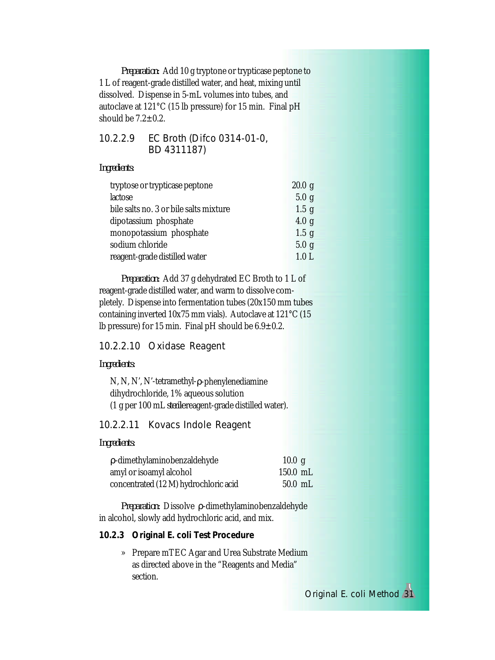*Preparation:* Add 10 g tryptone or trypticase peptone to 1 L of reagent-grade distilled water, and heat, mixing until dissolved. Dispense in 5-mL volumes into tubes, and autoclave at 121°C (15 lb pressure) for 15 min. Final pH should be  $7.2 \pm 0.2$ .

### 10.2.2.9 EC Broth (Difco 0314-01-0, BD 4311187)

*Ingredients:*

| tryptose or trypticase peptone         | 20.0 g           |
|----------------------------------------|------------------|
| lactose                                | 5.0 g            |
| bile salts no. 3 or bile salts mixture | $1.5$ g          |
| dipotassium phosphate                  | 4.0 <sub>g</sub> |
| monopotassium phosphate                | $1.5$ g          |
| sodium chloride                        | 5.0 g            |
| reagent-grade distilled water          | 1.0 <sub>L</sub> |

*Preparation:* Add 37 g dehydrated EC Broth to 1 L of reagent-grade distilled water, and warm to dissolve completely. Dispense into fermentation tubes (20x150 mm tubes containing inverted 10x75 mm vials). Autoclave at 121°C (15 lb pressure) for 15 min. Final pH should be  $6.9 \pm 0.2$ .

### 10.2.2.10 Oxidase Reagent

#### *Ingredients:*

N, N, N', N'-tetramethyl-ρ-phenylenediamine dihydrochloride, 1% aqueous solution (1 g per 100 mL *sterile* reagent-grade distilled water).

### 10.2.2.11 Kovacs Indole Reagent

#### *Ingredients:*

| p-dimethylaminobenzaldehyde           | 10.0 g     |  |
|---------------------------------------|------------|--|
| amyl or isoamyl alcohol               | $150.0$ mL |  |
| concentrated (12 M) hydrochloric acid | $50.0$ mL  |  |

*Preparation:* Dissolve ρ-dimethylaminobenzaldehyde in alcohol, slowly add hydrochloric acid, and mix.

### *10.2.3 Original E. coli Test Procedure*

» Prepare mTEC Agar and Urea Substrate Medium as directed above in the "Reagents and Media" section.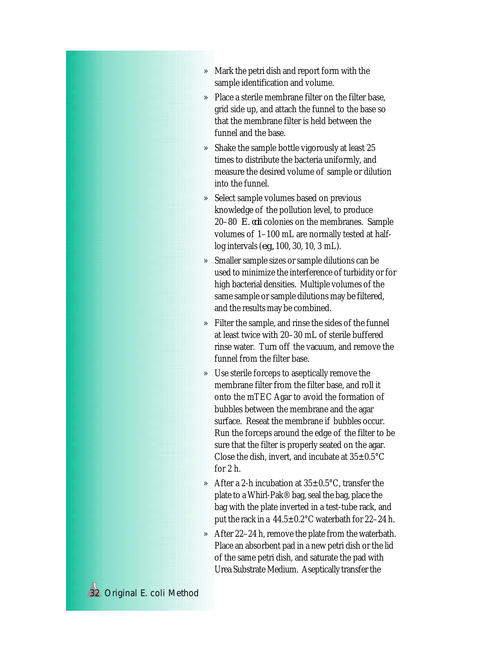- » Mark the petri dish and report form with the sample identification and volume.
- » Place a sterile membrane filter on the filter base, grid side up, and attach the funnel to the base so that the membrane filter is held between the funnel and the base.
- » Shake the sample bottle vigorously at least 25 times to distribute the bacteria uniformly, and measure the desired volume of sample or dilution into the funnel.
- » Select sample volumes based on previous knowledge of the pollution level, to produce 20–80 *E. coli* colonies on the membranes. Sample volumes of 1–100 mL are normally tested at halflog intervals (*e.g.,* 100, 30, 10, 3 mL).
- » Smaller sample sizes or sample dilutions can be used to minimize the interference of turbidity or for high bacterial densities. Multiple volumes of the same sample or sample dilutions may be filtered, and the results may be combined.
- » Filter the sample, and rinse the sides of the funnel at least twice with 20–30 mL of sterile buffered rinse water. Turn off the vacuum, and remove the funnel from the filter base.
- » Use sterile forceps to aseptically remove the membrane filter from the filter base, and roll it onto the mTEC Agar to avoid the formation of bubbles between the membrane and the agar surface. Reseat the membrane if bubbles occur. Run the forceps around the edge of the filter to be sure that the filter is properly seated on the agar. Close the dish, invert, and incubate at  $35\pm0.5^{\circ}$ C for 2 h.
- » After a 2-h incubation at 35±0.5°C, transfer the plate to a Whirl-Pak® bag, seal the bag, place the bag with the plate inverted in a test-tube rack, and put the rack in a  $44.5 \pm 0.2^{\circ}$ C waterbath for 22–24 h.
- » After 22–24 h, remove the plate from the waterbath. Place an absorbent pad in a new petri dish or the lid of the same petri dish, and saturate the pad with Urea Substrate Medium. Aseptically transfer the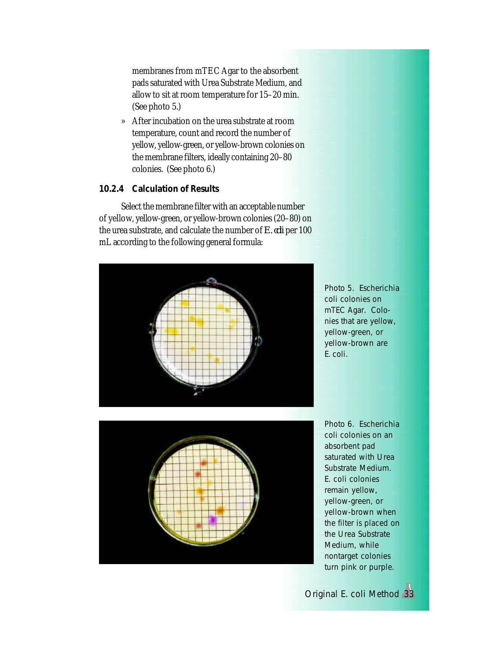membranes from mTEC Agar to the absorbent pads saturated with Urea Substrate Medium, and allow to sit at room temperature for 15–20 min. (See photo 5.)

» After incubation on the urea substrate at room temperature, count and record the number of yellow, yellow-green, or yellow-brown colonies on the membrane filters, ideally containing 20–80 colonies. (See photo 6.)

### *10.2.4 Calculation of Results*

Select the membrane filter with an acceptable number of yellow, yellow-green, or yellow-brown colonies (20–80) on the urea substrate, and calculate the number of *E. coli* per 100 mL according to the following general formula:



Photo 5. *Escherichia coli* colonies on mTEC Agar. Colonies that are yellow, yellow-green, or yellow-brown are *E. coli*.



Photo 6. *Escherichia coli* colonies on an absorbent pad saturated with Urea Substrate Medium. *E. coli* colonies remain yellow, yellow-green, or yellow-brown when the filter is placed on the Urea Substrate Medium, while nontarget colonies turn pink or purple.

Original *E. coli* Method 33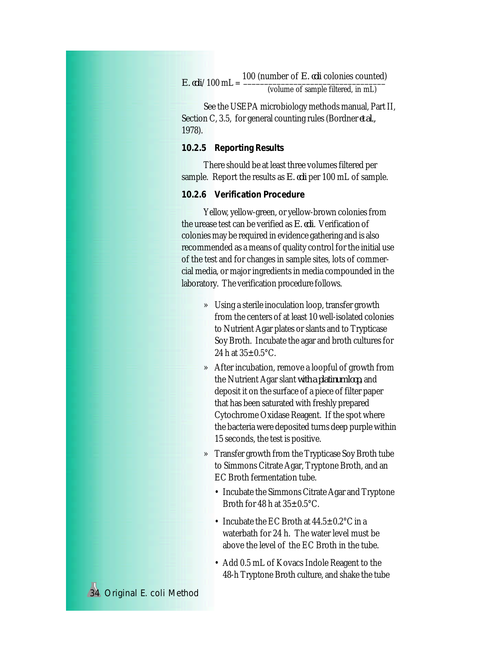$E.$   $\textit{coli}/100$  mL =  $\frac{100 \text{ (number of } E. \text{ } \textit{coli} \text{ (colories) could}}{200 \text{ m}}$ (volume of sample filtered, in mL)

See the USEPA microbiology methods manual, Part II, Section C, 3.5, for general counting rules (Bordner *et al.,* 1978).

#### *10.2.5 Reporting Results*

There should be at least three volumes filtered per sample. Report the results as *E. coli* per 100 mL of sample.

### *10.2.6 Verification Procedure*

Yellow, yellow-green, or yellow-brown colonies from the urease test can be verified as *E. coli*. Verification of colonies may be required in evidence gathering and is also recommended as a means of quality control for the initial use of the test and for changes in sample sites, lots of commercial media, or major ingredients in media compounded in the laboratory. The verification procedure follows.

- » Using a sterile inoculation loop, transfer growth from the centers of at least 10 well-isolated colonies to Nutrient Agar plates or slants and to Trypticase Soy Broth. Incubate the agar and broth cultures for 24 h at  $35\pm0.5$ °C.
- » After incubation, remove a loopful of growth from the Nutrient Agar slant *with a platinum loop,* and deposit it on the surface of a piece of filter paper that has been saturated with freshly prepared Cytochrome Oxidase Reagent. If the spot where the bacteria were deposited turns deep purple within 15 seconds, the test is positive.
- » Transfer growth from the Trypticase Soy Broth tube to Simmons Citrate Agar, Tryptone Broth, and an EC Broth fermentation tube.
	- Incubate the Simmons Citrate Agar and Tryptone Broth for 48 h at  $35+0.5$ °C.
	- Incubate the EC Broth at  $44.5 \pm 0.2$  °C in a waterbath for 24 h. The water level must be above the level of the EC Broth in the tube.
	- Add 0.5 mL of Kovacs Indole Reagent to the 48-h Tryptone Broth culture, and shake the tube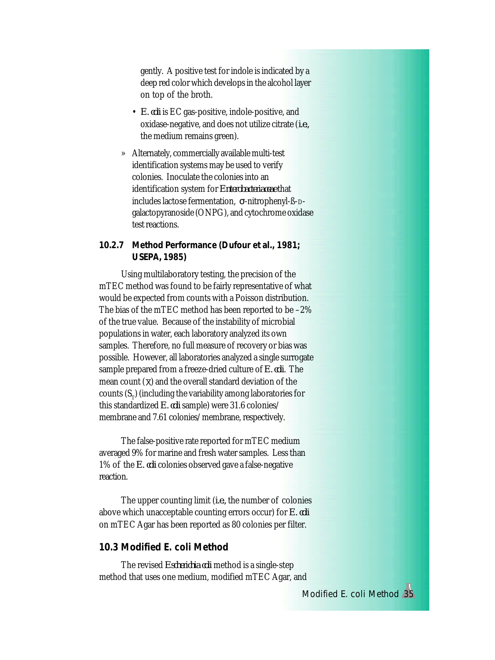gently. A positive test for indole is indicated by a deep red color which develops in the alcohol layer on top of the broth.

- *E. coli* is EC gas-positive, indole-positive, and oxidase-negative, and does not utilize citrate (*i.e.,* the medium remains green).
- » Alternately, commercially available multi-test identification systems may be used to verify colonies. Inoculate the colonies into an identification system for *Enterobacteriaceae* that includes lactose fermentation, σ-nitrophenyl-ß-Dgalactopyranoside (ONPG), and cytochrome oxidase test reactions.
- *10.2.7 Method Performance (Dufour et al., 1981; USEPA, 1985)*

Using multilaboratory testing, the precision of the mTEC method was found to be fairly representative of what would be expected from counts with a Poisson distribution. The bias of the mTEC method has been reported to be –2% of the true value. Because of the instability of microbial populations in water, each laboratory analyzed its own samples. Therefore, no full measure of recovery or bias was possible. However, all laboratories analyzed a single surrogate sample prepared from a freeze-dried culture of *E. coli*. The mean count  $(\overline{x})$  and the overall standard deviation of the counts  $(S_T)$  (including the variability among laboratories for this standardized *E. coli* sample) were 31.6 colonies/ membrane and 7.61 colonies/membrane, respectively.

The false-positive rate reported for mTEC medium averaged 9% for marine and fresh water samples. Less than 1% of the *E. coli* colonies observed gave a false-negative reaction.

The upper counting limit (*i.e.,* the number of colonies above which unacceptable counting errors occur) for *E. coli* on mTEC Agar has been reported as 80 colonies per filter.

### **10.3 Modified** *E. coli* **Method**

The revised *Escherichia coli* method is a single-step method that uses one medium, modified mTEC Agar, and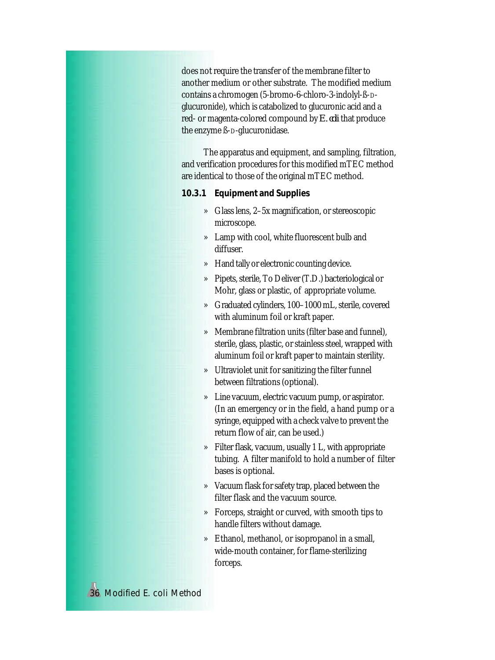does not require the transfer of the membrane filter to another medium or other substrate. The modified medium contains a chromogen (5-bromo-6-chloro-3-indolyl-ß-Dglucuronide), which is catabolized to glucuronic acid and a red- or magenta-colored compound by *E. coli* that produce the enzyme ß-D-glucuronidase.

The apparatus and equipment, and sampling, filtration, and verification procedures for this modified mTEC method are identical to those of the original mTEC method.

*10.3.1 Equipment and Supplies*

- » Glass lens, 2–5x magnification, or stereoscopic microscope.
- » Lamp with cool, white fluorescent bulb and diffuser.
- » Hand tally or electronic counting device.
- » Pipets, sterile, To Deliver (T.D.) bacteriological or Mohr, glass or plastic, of appropriate volume.
- » Graduated cylinders, 100–1000 mL, sterile, covered with aluminum foil or kraft paper.
- » Membrane filtration units (filter base and funnel), sterile, glass, plastic, or stainless steel, wrapped with aluminum foil or kraft paper to maintain sterility.
- » Ultraviolet unit for sanitizing the filter funnel between filtrations (optional).
- » Line vacuum, electric vacuum pump, or aspirator. (In an emergency or in the field, a hand pump or a syringe, equipped with a check valve to prevent the return flow of air, can be used.)
- » Filter flask, vacuum, usually 1 L, with appropriate tubing. A filter manifold to hold a number of filter bases is optional.
- » Vacuum flask for safety trap, placed between the filter flask and the vacuum source.
- » Forceps, straight or curved, with smooth tips to handle filters without damage.
- » Ethanol, methanol, or isopropanol in a small, wide-mouth container, for flame-sterilizing forceps.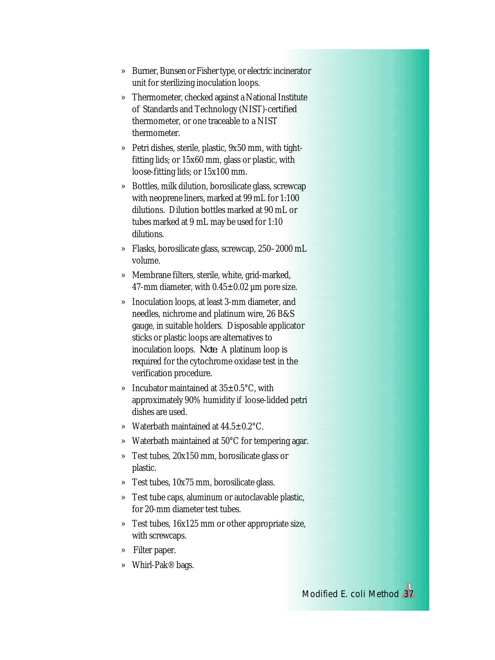- » Burner, Bunsen or Fisher type, or electric incinerator unit for sterilizing inoculation loops.
- » Thermometer, checked against a National Institute of Standards and Technology (NIST)-certified thermometer, or one traceable to a NIST thermometer.
- » Petri dishes, sterile, plastic, 9x50 mm, with tightfitting lids; or 15x60 mm, glass or plastic, with loose-fitting lids; or 15x100 mm.
- » Bottles, milk dilution, borosilicate glass, screwcap with neoprene liners, marked at 99 mL for 1:100 dilutions. Dilution bottles marked at 90 mL or tubes marked at 9 mL may be used for 1:10 dilutions.
- » Flasks, borosilicate glass, screwcap, 250–2000 mL volume.
- » Membrane filters, sterile, white, grid-marked, 47-mm diameter, with  $0.45 \pm 0.02$  µm pore size.
- » Inoculation loops, at least 3-mm diameter, and needles, nichrome and platinum wire, 26 B&S gauge, in suitable holders. Disposable applicator sticks or plastic loops are alternatives to inoculation loops. *Note:* A platinum loop is required for the cytochrome oxidase test in the verification procedure.
- » Incubator maintained at 35±0.5°C, with approximately 90% humidity if loose-lidded petri dishes are used.
- » Waterbath maintained at 44.5±0.2°C.
- » Waterbath maintained at 50°C for tempering agar.
- » Test tubes, 20x150 mm, borosilicate glass or plastic.
- » Test tubes, 10x75 mm, borosilicate glass.
- » Test tube caps, aluminum or autoclavable plastic, for 20-mm diameter test tubes.
- » Test tubes, 16x125 mm or other appropriate size, with screwcaps.
- » Filter paper.
- » Whirl-Pak® bags.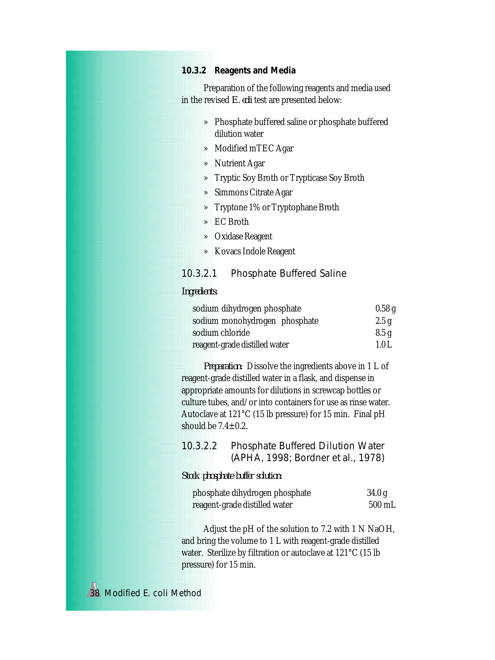### *10.3.2 Reagents and Media*

Preparation of the following reagents and media used in the revised *E. coli* test are presented below:

- » Phosphate buffered saline or phosphate buffered dilution water
- » Modified mTEC Agar
- » Nutrient Agar
- » Tryptic Soy Broth or Trypticase Soy Broth
- » Simmons Citrate Agar
- » Tryptone 1% or Tryptophane Broth
- » EC Broth
- » Oxidase Reagent
- » Kovacs Indole Reagent

### 10.3.2.1 Phosphate Buffered Saline

#### *Ingredients:*

| sodium dihydrogen phosphate   | 0.58g |
|-------------------------------|-------|
| sodium monohydrogen phosphate | 2.5g  |
| sodium chloride               | 8.5 g |
| reagent-grade distilled water | 1.0L  |

*Preparation:* Dissolve the ingredients above in 1 L of reagent-grade distilled water in a flask, and dispense in appropriate amounts for dilutions in screwcap bottles or culture tubes, and/or into containers for use as rinse water. Autoclave at 121°C (15 lb pressure) for 15 min. Final pH should be  $7.4 \pm 0.2$ .

### 10.3.2.2 Phosphate Buffered Dilution Water (APHA, 1998; Bordner *et al.*, 1978)

*Stock phosphate buffer solution:*

| phosphate dihydrogen phosphate | 34.0 g           |
|--------------------------------|------------------|
| reagent-grade distilled water  | $500 \text{ mL}$ |

Adjust the pH of the solution to 7.2 with 1 N NaOH, and bring the volume to 1 L with reagent-grade distilled water. Sterilize by filtration or autoclave at 121°C (15 lb pressure) for 15 min.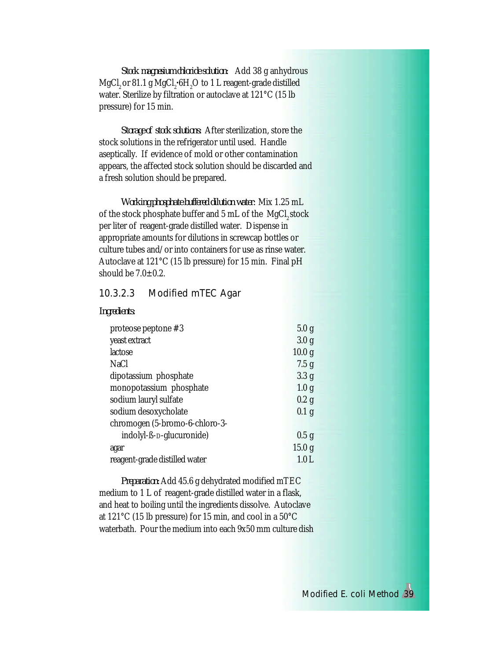*Stock magnesium chloride solution:* Add 38 g anhydrous MgCl<sub>2</sub> or 81.1 g MgCl<sub>2</sub>•6H<sub>2</sub>O to 1 L reagent-grade distilled water. Sterilize by filtration or autoclave at 121°C (15 lb pressure) for 15 min.

*Storage of stock solutions:* After sterilization, store the stock solutions in the refrigerator until used. Handle aseptically. If evidence of mold or other contamination appears, the affected stock solution should be discarded and a fresh solution should be prepared.

*Working phosphate buffered dilution water:* Mix 1.25 mL of the stock phosphate buffer and 5 mL of the MgCl<sub>2</sub> stock per liter of reagent-grade distilled water. Dispense in appropriate amounts for dilutions in screwcap bottles or culture tubes and/or into containers for use as rinse water. Autoclave at 121°C (15 lb pressure) for 15 min. Final pH should be  $7.0 \pm 0.2$ .

### 10.3.2.3 Modified mTEC Agar

| proteose peptone #3                   | 5.0 g             |
|---------------------------------------|-------------------|
| yeast extract                         | 3.0 <sub>g</sub>  |
| lactose                               | 10.0 <sub>g</sub> |
| <b>NaCl</b>                           | 7.5 g             |
| dipotassium phosphate                 | 3.3 <sub>g</sub>  |
| monopotassium phosphate               | 1.0 <sub>g</sub>  |
| sodium lauryl sulfate                 | $0.2$ g           |
| sodium desoxycholate                  | 0.1 <sub>g</sub>  |
| chromogen (5-bromo-6-chloro-3-        |                   |
| indolyl-ß- <sub>D</sub> -glucuronide) | 0.5 g             |
| agar                                  | 15.0 <sub>g</sub> |
| reagent-grade distilled water         | 1.0 L             |

*Preparation:* Add 45.6 g dehydrated modified mTEC medium to 1 L of reagent-grade distilled water in a flask, and heat to boiling until the ingredients dissolve. Autoclave at 121°C (15 lb pressure) for 15 min, and cool in a 50°C waterbath. Pour the medium into each 9x50 mm culture dish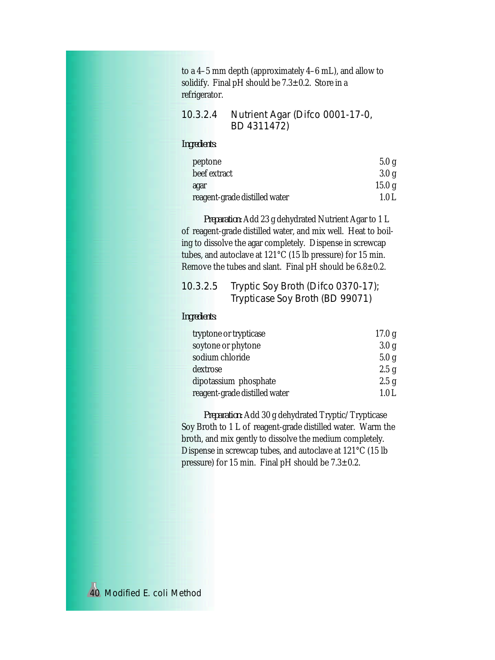to a 4–5 mm depth (approximately 4–6 mL), and allow to solidify. Final pH should be  $7.3 \pm 0.2$ . Store in a refrigerator.

| 10.3.2.4 | Nutrient Agar (Difco 0001-17-0, |
|----------|---------------------------------|
|          | BD 4311472)                     |

### *Ingredients:*

| peptone                       | 5.0g   |
|-------------------------------|--------|
| beef extract                  | 3.0 g  |
| agar                          | 15.0 g |
| reagent-grade distilled water | 1.0 L  |

*Preparation:* Add 23 g dehydrated Nutrient Agar to 1 L of reagent-grade distilled water, and mix well. Heat to boiling to dissolve the agar completely. Dispense in screwcap tubes, and autoclave at 121°C (15 lb pressure) for 15 min. Remove the tubes and slant. Final pH should be  $6.8 \pm 0.2$ .

### 10.3.2.5 Tryptic Soy Broth (Difco 0370-17); Trypticase Soy Broth (BD 99071)

#### *Ingredients:*

| tryptone or trypticase        | 17.0 g           |
|-------------------------------|------------------|
| soytone or phytone            | 3.0 <sub>g</sub> |
| sodium chloride               | 5.0 g            |
| dextrose                      | 2.5 g            |
| dipotassium phosphate         | 2.5 g            |
| reagent-grade distilled water | 1.0 L            |

*Preparation:* Add 30 g dehydrated Tryptic/Trypticase Soy Broth to 1 L of reagent-grade distilled water. Warm the broth, and mix gently to dissolve the medium completely. Dispense in screwcap tubes, and autoclave at 121°C (15 lb pressure) for 15 min. Final pH should be  $7.3 \pm 0.2$ .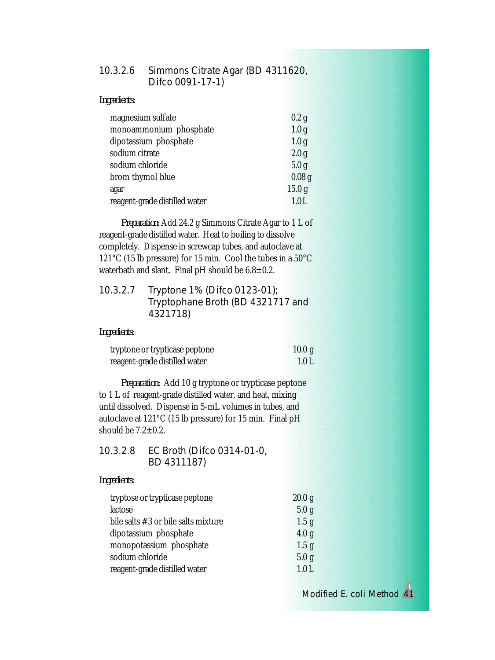| 10.3.2.6 Simmons Citrate Agar (BD 4311620, |
|--------------------------------------------|
| Difco 0091-17-1)                           |

| Ingredients: |
|--------------|
|--------------|

| magnesium sulfate             | 0.2 g             |
|-------------------------------|-------------------|
| monoammonium phosphate        | 1.0 <sub>g</sub>  |
| dipotassium phosphate         | 1.0 <sub>g</sub>  |
| sodium citrate                | 2.0 <sub>g</sub>  |
| sodium chloride               | 5.0 <sub>g</sub>  |
| brom thymol blue              | 0.08 <sub>g</sub> |
| agar                          | 15.0 <sub>g</sub> |
| reagent-grade distilled water | 1.0L              |

*Preparation:* Add 24.2 g Simmons Citrate Agar to 1 L of reagent-grade distilled water. Heat to boiling to dissolve completely. Dispense in screwcap tubes, and autoclave at 121°C (15 lb pressure) for 15 min. Cool the tubes in a 50°C waterbath and slant. Final pH should be  $6.8 \pm 0.2$ .

| 10.3.2.7 | Tryptone 1% (Difco 0123-01);      |
|----------|-----------------------------------|
|          | Tryptophane Broth (BD 4321717 and |
|          | 4321718)                          |

*Ingredients:*

| tryptone or trypticase peptone | 10.0 g            |
|--------------------------------|-------------------|
| reagent-grade distilled water  | $\setminus$ 1.0 L |

*Preparation:* Add 10 g tryptone or trypticase peptone to 1 L of reagent-grade distilled water, and heat, mixing until dissolved. Dispense in 5-mL volumes in tubes, and autoclave at 121°C (15 lb pressure) for 15 min. Final pH should be  $7.2 \pm 0.2$ .

| 10.3.2.8 | EC Broth (Difco 0314-01-0, |
|----------|----------------------------|
|          | BD 4311187)                |

#### *Ingredients:*

| tryptose or trypticase peptone      | 20.0 g           |
|-------------------------------------|------------------|
| lactose                             | 5.0 g            |
| bile salts #3 or bile salts mixture | 1.5 <sub>g</sub> |
| dipotassium phosphate               | 4.0 <sub>g</sub> |
| monopotassium phosphate             | 1.5 <sub>g</sub> |
| sodium chloride                     | 5.0 <sub>g</sub> |
| reagent-grade distilled water       | 1.0L             |

Modified *E. coli* Method 41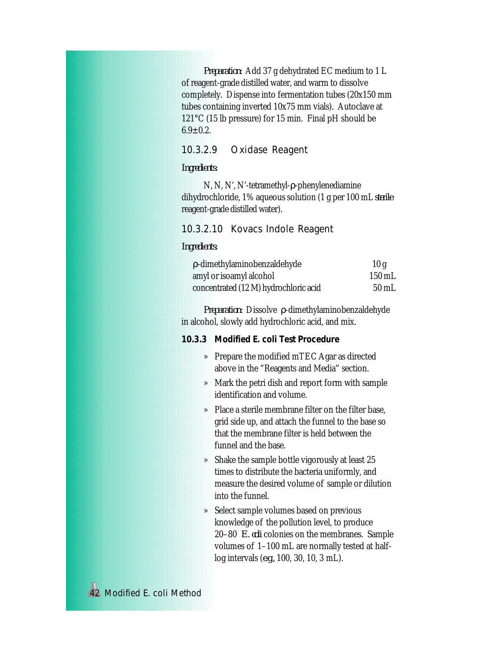*Preparation:* Add 37 g dehydrated EC medium to 1 L of reagent-grade distilled water, and warm to dissolve completely. Dispense into fermentation tubes (20x150 mm tubes containing inverted 10x75 mm vials). Autoclave at 121°C (15 lb pressure) for 15 min. Final pH should be  $6.9 \pm 0.2$ .

### 10.3.2.9 Oxidase Reagent

#### *Ingredients:*

N, N, N', N'-tetramethyl-ρ-phenylenediamine dihydrochloride, 1% aqueous solution (1 g per 100 mL *sterile* reagent-grade distilled water).

#### 10.3.2.10 Kovacs Indole Reagent

#### *Ingredients:*

| p-dimethylaminobenzaldehyde           | 10g              |
|---------------------------------------|------------------|
| amyl or isoamyl alcohol               | $150 \text{ mL}$ |
| concentrated (12 M) hydrochloric acid | 50 mL            |

*Preparation:* Dissolve ρ-dimethylaminobenzaldehyde in alcohol, slowly add hydrochloric acid, and mix.

#### *10.3.3 Modified E. coli Test Procedure*

- » Prepare the modified mTEC Agar as directed above in the "Reagents and Media" section.
- » Mark the petri dish and report form with sample identification and volume.
- » Place a sterile membrane filter on the filter base, grid side up, and attach the funnel to the base so that the membrane filter is held between the funnel and the base.
- » Shake the sample bottle vigorously at least 25 times to distribute the bacteria uniformly, and measure the desired volume of sample or dilution into the funnel.
- » Select sample volumes based on previous knowledge of the pollution level, to produce 20–80 *E. coli* colonies on the membranes. Sample volumes of 1–100 mL are normally tested at halflog intervals (*e.g.,* 100, 30, 10, 3 mL).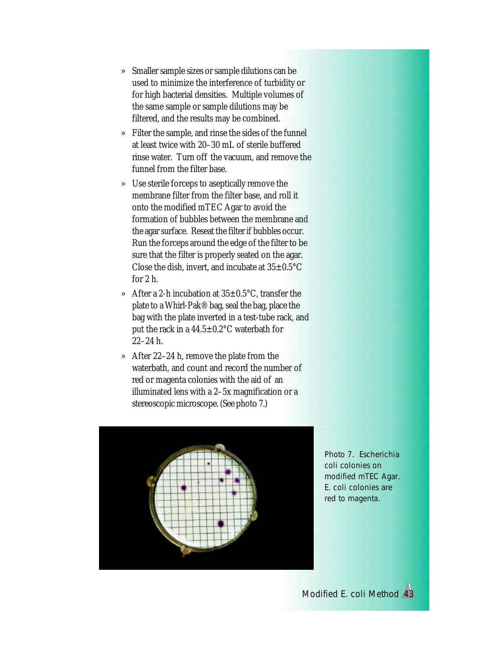- » Smaller sample sizes or sample dilutions can be used to minimize the interference of turbidity or for high bacterial densities. Multiple volumes of the same sample or sample dilutions may be filtered, and the results may be combined.
- » Filter the sample, and rinse the sides of the funnel at least twice with 20–30 mL of sterile buffered rinse water. Turn off the vacuum, and remove the funnel from the filter base.
- » Use sterile forceps to aseptically remove the membrane filter from the filter base, and roll it onto the modified mTEC Agar to avoid the formation of bubbles between the membrane and the agar surface. Reseat the filter if bubbles occur. Run the forceps around the edge of the filter to be sure that the filter is properly seated on the agar. Close the dish, invert, and incubate at  $35\pm0.5^{\circ}$ C for 2 h.
- » After a 2-h incubation at 35±0.5°C, transfer the plate to a Whirl-Pak® bag, seal the bag, place the bag with the plate inverted in a test-tube rack, and put the rack in a 44.5±0.2°C waterbath for 22–24 h.
- » After 22–24 h, remove the plate from the waterbath, and count and record the number of red or magenta colonies with the aid of an illuminated lens with a 2–5x magnification or a stereoscopic microscope. (See photo 7.)



Photo 7. *Escherichia coli* colonies on modified mTEC Agar. *E. coli* colonies are red to magenta.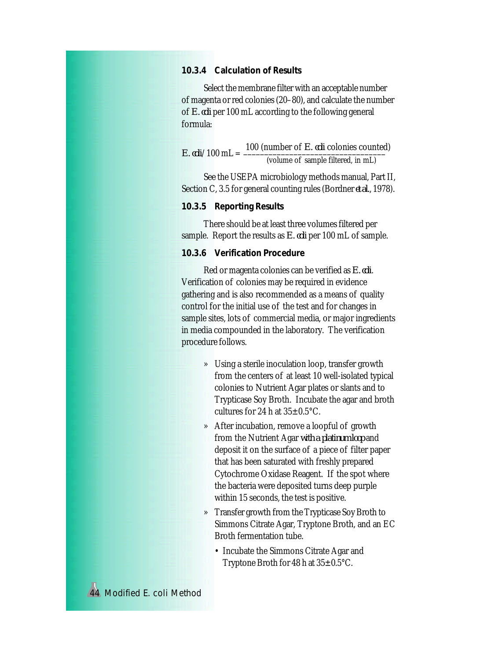### *10.3.4 Calculation of Results*

Select the membrane filter with an acceptable number of magenta or red colonies (20–80), and calculate the number of *E. coli* per 100 mL according to the following general formula:

| E. $\omega$ li/100 mL = $\frac{100}{100}$ | 100 (number of <i>E. coli</i> colonies counted) |
|-------------------------------------------|-------------------------------------------------|
|                                           | (volume of sample filtered, in mL)              |

See the USEPA microbiology methods manual, Part II, Section C, 3.5 for general counting rules (Bordner *et al.*, 1978).

#### *10.3.5 Reporting Results*

There should be at least three volumes filtered per sample. Report the results as *E. coli* per 100 mL of sample.

#### *10.3.6 Verification Procedure*

Red or magenta colonies can be verified as *E. coli*. Verification of colonies may be required in evidence gathering and is also recommended as a means of quality control for the initial use of the test and for changes in sample sites, lots of commercial media, or major ingredients in media compounded in the laboratory. The verification procedure follows.

- » Using a sterile inoculation loop, transfer growth from the centers of at least 10 well-isolated typical colonies to Nutrient Agar plates or slants and to Trypticase Soy Broth. Incubate the agar and broth cultures for 24 h at  $35\pm0.5^{\circ}$ C.
- » After incubation, remove a loopful of growth from the Nutrient Agar *with a platinum loop* and deposit it on the surface of a piece of filter paper that has been saturated with freshly prepared Cytochrome Oxidase Reagent. If the spot where the bacteria were deposited turns deep purple within 15 seconds, the test is positive.
- » Transfer growth from the Trypticase Soy Broth to Simmons Citrate Agar, Tryptone Broth, and an EC Broth fermentation tube.
	- Incubate the Simmons Citrate Agar and Tryptone Broth for 48 h at  $35\pm0.5^{\circ}$ C.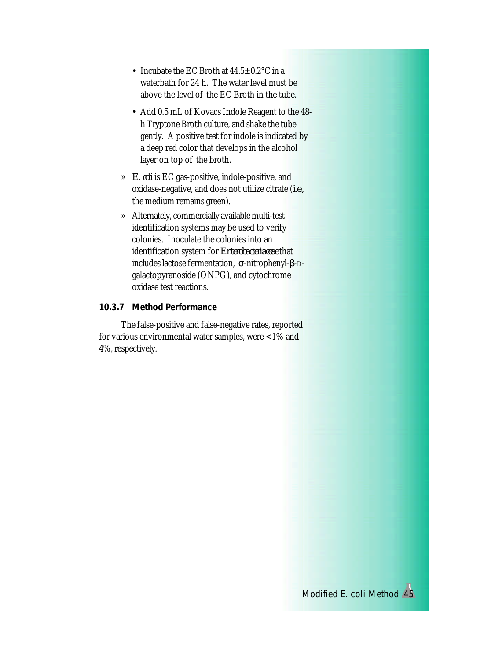- Incubate the EC Broth at  $44.5 \pm 0.2$ °C in a waterbath for 24 h. The water level must be above the level of the EC Broth in the tube.
- Add 0.5 mL of Kovacs Indole Reagent to the 48 h Tryptone Broth culture, and shake the tube gently. A positive test for indole is indicated by a deep red color that develops in the alcohol layer on top of the broth.
- » *E. coli* is EC gas-positive, indole-positive, and oxidase-negative, and does not utilize citrate (*i.e.,* the medium remains green).
- » Alternately, commercially available multi-test identification systems may be used to verify colonies. Inoculate the colonies into an identification system for *Enterobacteriaceae* that includes lactose fermentation, σ-nitrophenyl-β-Dgalactopyranoside (ONPG), and cytochrome oxidase test reactions.

### *10.3.7 Method Performance*

The false-positive and false-negative rates, reported for various environmental water samples, were <1% and 4%, respectively.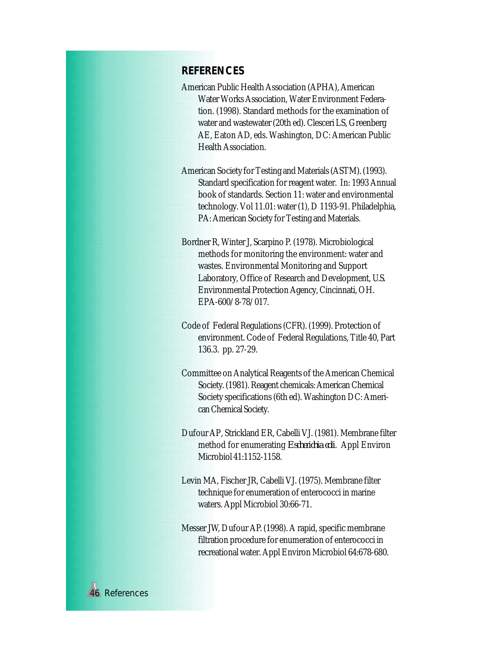# **REFERENCES**

- American Public Health Association (APHA), American Water Works Association, Water Environment Federation. (1998). Standard methods for the examination of water and wastewater (20th ed). Clesceri LS, Greenberg AE, Eaton AD, eds. Washington, DC: American Public Health Association.
- American Society for Testing and Materials (ASTM). (1993). Standard specification for reagent water. In: 1993 Annual book of standards. Section 11: water and environmental technology. Vol 11.01: water (1), D 1193-91. Philadelphia, PA: American Society for Testing and Materials.
- Bordner R, Winter J, Scarpino P. (1978). Microbiological methods for monitoring the environment: water and wastes. Environmental Monitoring and Support Laboratory, Office of Research and Development, U.S. Environmental Protection Agency, Cincinnati, OH. EPA-600/8-78/017.
- Code of Federal Regulations (CFR). (1999). Protection of environment. Code of Federal Regulations, Title 40, Part 136.3. pp. 27-29.
- Committee on Analytical Reagents of the American Chemical Society. (1981). Reagent chemicals: American Chemical Society specifications (6th ed). Washington DC: American Chemical Society.
- Dufour AP, Strickland ER, Cabelli VJ. (1981). Membrane filter method for enumerating *Escherichia coli*. Appl Environ Microbiol 41:1152-1158.
- Levin MA, Fischer JR, Cabelli VJ. (1975). Membrane filter technique for enumeration of enterococci in marine waters. Appl Microbiol 30:66-71.
- Messer JW, Dufour AP. (1998). A rapid, specific membrane filtration procedure for enumeration of enterococci in recreational water. Appl Environ Microbiol 64:678-680.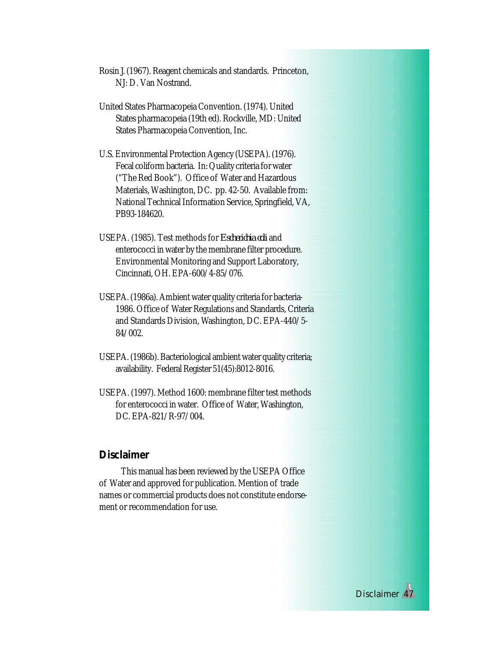Rosin J. (1967). Reagent chemicals and standards. Princeton, NJ: D. Van Nostrand.

- United States Pharmacopeia Convention. (1974). United States pharmacopeia (19th ed). Rockville, MD: United States Pharmacopeia Convention, Inc.
- U.S. Environmental Protection Agency (USEPA). (1976). Fecal coliform bacteria. In: Quality criteria for water ("The Red Book"). Office of Water and Hazardous Materials, Washington, DC. pp. 42-50. Available from: National Technical Information Service, Springfield, VA, PB93-184620.
- USEPA. (1985). Test methods for *Escherichia coli* and enterococci in water by the membrane filter procedure. Environmental Monitoring and Support Laboratory, Cincinnati, OH. EPA-600/4-85/076.
- USEPA. (1986a). Ambient water quality criteria for bacteria-1986. Office of Water Regulations and Standards, Criteria and Standards Division, Washington, DC. EPA-440/5- 84/002.
- USEPA. (1986b). Bacteriological ambient water quality criteria; availability. Federal Register 51(45):8012-8016.
- USEPA. (1997). Method 1600: membrane filter test methods for enterococci in water. Office of Water, Washington, DC. EPA-821/R-97/004.

### **Disclaimer**

This manual has been reviewed by the USEPA Office of Water and approved for publication. Mention of trade names or commercial products does not constitute endorsement or recommendation for use.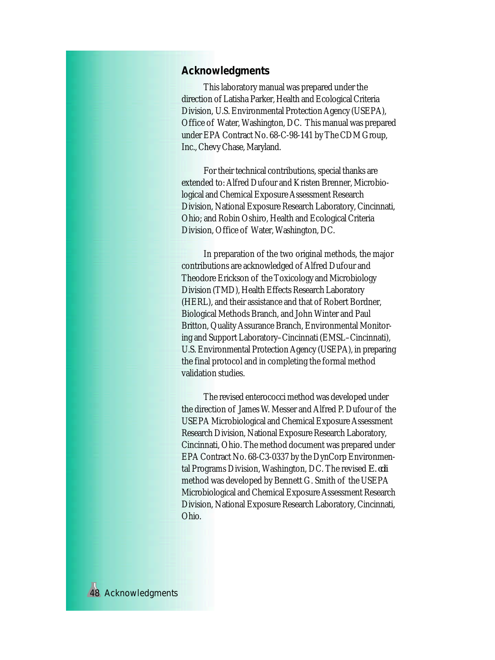# **Acknowledgments**

This laboratory manual was prepared under the direction of Latisha Parker, Health and Ecological Criteria Division, U.S. Environmental Protection Agency (USEPA), Office of Water, Washington, DC. This manual was prepared under EPA Contract No. 68-C-98-141 by The CDM Group, Inc., Chevy Chase, Maryland.

For their technical contributions, special thanks are extended to: Alfred Dufour and Kristen Brenner, Microbiological and Chemical Exposure Assessment Research Division, National Exposure Research Laboratory, Cincinnati, Ohio; and Robin Oshiro, Health and Ecological Criteria Division, Office of Water, Washington, DC.

In preparation of the two original methods, the major contributions are acknowledged of Alfred Dufour and Theodore Erickson of the Toxicology and Microbiology Division (TMD), Health Effects Research Laboratory (HERL), and their assistance and that of Robert Bordner, Biological Methods Branch, and John Winter and Paul Britton, Quality Assurance Branch, Environmental Monitoring and Support Laboratory–Cincinnati (EMSL–Cincinnati), U.S. Environmental Protection Agency (USEPA), in preparing the final protocol and in completing the formal method validation studies.

The revised enterococci method was developed under the direction of James W. Messer and Alfred P. Dufour of the USEPA Microbiological and Chemical Exposure Assessment Research Division, National Exposure Research Laboratory, Cincinnati, Ohio. The method document was prepared under EPA Contract No. 68-C3-0337 by the DynCorp Environmental Programs Division, Washington, DC. The revised *E. coli* method was developed by Bennett G. Smith of the USEPA Microbiological and Chemical Exposure Assessment Research Division, National Exposure Research Laboratory, Cincinnati, Ohio.